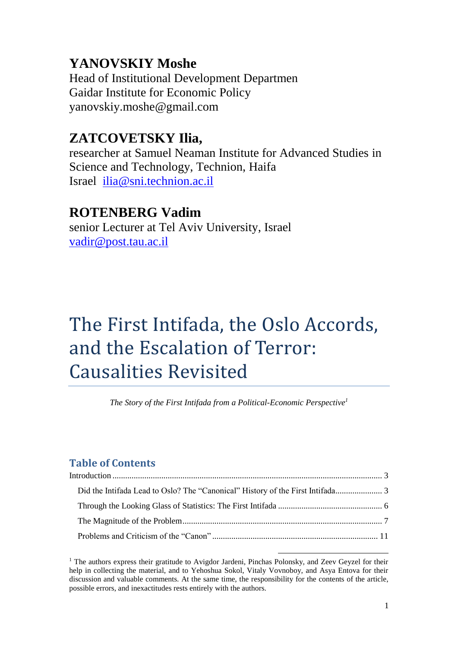# **YANOVSKIY Moshe**

Head of Institutional Development Departmen Gaidar Institute for Economic Policy yanovskiy.moshe@gmail.com

# **ZATCOVETSKY Ilia,**

researcher at Samuel Neaman Institute for Advanced Studies in Science and Technology, Technion, Haifa Israel [ilia@sni.technion.ac.il](mailto:ilia@sni.technion.ac.il)

# **ROTENBERG Vadim**

senior Lecturer at Tel Aviv University, Israel [vadir@post.tau.ac.il](mailto:vadir@post.tau.ac.il)

# The First Intifada, the Oslo Accords, and the Escalation of Terror: Causalities Revisited

*The Story of the First Intifada from a Political-Economic Perspective<sup>1</sup>*

# **Table of Contents**

 $1$  The authors express their gratitude to Avigdor Jardeni, Pinchas Polonsky, and Zeev Geyzel for their help in collecting the material, and to Yehoshua Sokol, Vitaly Vovnoboy, and Asya Entova for their discussion and valuable comments. At the same time, the responsibility for the contents of the article, possible errors, and inexactitudes rests entirely with the authors.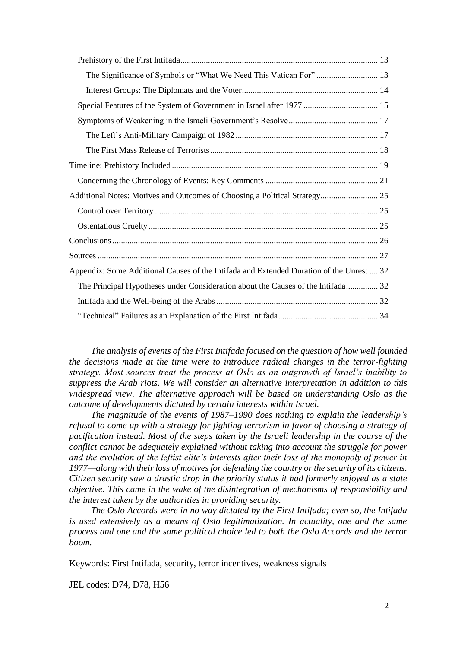| Additional Notes: Motives and Outcomes of Choosing a Political Strategy 25               |  |
|------------------------------------------------------------------------------------------|--|
|                                                                                          |  |
|                                                                                          |  |
|                                                                                          |  |
|                                                                                          |  |
| Appendix: Some Additional Causes of the Intifada and Extended Duration of the Unrest  32 |  |
| The Principal Hypotheses under Consideration about the Causes of the Intifada 32         |  |
|                                                                                          |  |
|                                                                                          |  |

*The analysis of events of the First Intifada focused on the question of how well founded the decisions made at the time were to introduce radical changes in the terror-fighting strategy. Most sources treat the process at Oslo as an outgrowth of Israel's inability to suppress the Arab riots. We will consider an alternative interpretation in addition to this widespread view. The alternative approach will be based on understanding Oslo as the outcome of developments dictated by certain interests within Israel.*

*The magnitude of the events of 1987–1990 does nothing to explain the leadership's refusal to come up with a strategy for fighting terrorism in favor of choosing a strategy of pacification instead. Most of the steps taken by the Israeli leadership in the course of the conflict cannot be adequately explained without taking into account the struggle for power and the evolution of the leftist elite's interests after their loss of the monopoly of power in 1977—along with their loss of motives for defending the country or the security of its citizens. Citizen security saw a drastic drop in the priority status it had formerly enjoyed as a state objective. This came in the wake of the disintegration of mechanisms of responsibility and the interest taken by the authorities in providing security.*

*The Oslo Accords were in no way dictated by the First Intifada; even so, the Intifada is used extensively as a means of Oslo legitimatization. In actuality, one and the same process and one and the same political choice led to both the Oslo Accords and the terror boom.*

Keywords: First Intifada, security, terror incentives, weakness signals

JEL codes: D74, D78, H56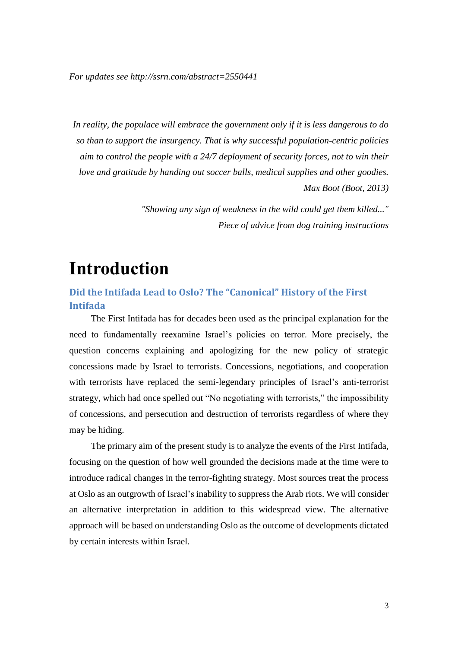*For updates see http://ssrn.com/abstract=2550441*

*In reality, the populace will embrace the government only if it is less dangerous to do so than to support the insurgency. That is why successful population-centric policies aim to control the people with a 24/7 deployment of security forces, not to win their love and gratitude by handing out soccer balls, medical supplies and other goodies. Max Boot (Boot, 2013)*

> *"Showing any sign of weakness in the wild could get them killed..." Piece of advice from dog training instructions*

# <span id="page-2-0"></span>**Introduction**

<span id="page-2-1"></span>**Did the Intifada Lead to Oslo? The "Canonical" History of the First Intifada**

The First Intifada has for decades been used as the principal explanation for the need to fundamentally reexamine Israel's policies on terror. More precisely, the question concerns explaining and apologizing for the new policy of strategic concessions made by Israel to terrorists. Concessions, negotiations, and cooperation with terrorists have replaced the semi-legendary principles of Israel's anti-terrorist strategy, which had once spelled out "No negotiating with terrorists," the impossibility of concessions, and persecution and destruction of terrorists regardless of where they may be hiding.

The primary aim of the present study is to analyze the events of the First Intifada, focusing on the question of how well grounded the decisions made at the time were to introduce radical changes in the terror-fighting strategy. Most sources treat the process at Oslo as an outgrowth of Israel's inability to suppress the Arab riots. We will consider an alternative interpretation in addition to this widespread view. The alternative approach will be based on understanding Oslo as the outcome of developments dictated by certain interests within Israel.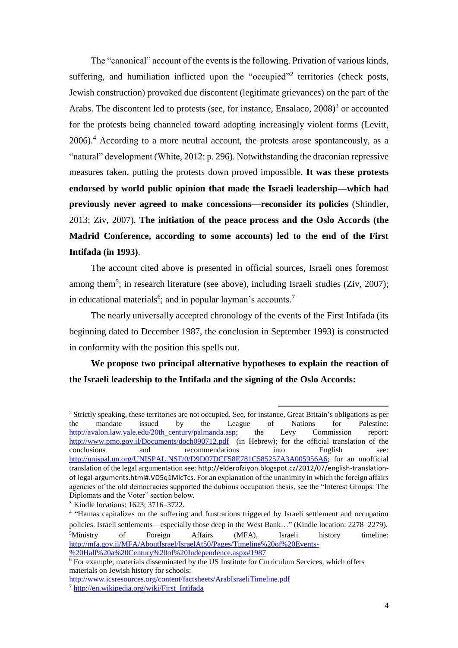The "canonical" account of the events is the following. Privation of various kinds, suffering, and humiliation inflicted upon the "occupied"<sup>2</sup> territories (check posts, Jewish construction) provoked due discontent (legitimate grievances) on the part of the Arabs. The discontent led to protests (see, for instance, Ensalaco, 2008)<sup>3</sup> or accounted for the protests being channeled toward adopting increasingly violent forms (Levitt,  $2006$ .<sup>4</sup> According to a more neutral account, the protests arose spontaneously, as a "natural" development (White, 2012: p. 296). Notwithstanding the draconian repressive measures taken, putting the protests down proved impossible. **It was these protests endorsed by world public opinion that made the Israeli leadership—which had previously never agreed to make concessions—reconsider its policies** (Shindler, 2013; Ziv, 2007). **The initiation of the peace process and the Oslo Accords (the Madrid Conference, according to some accounts) led to the end of the First Intifada (in 1993)**.

The account cited above is presented in official sources, Israeli ones foremost among them<sup>5</sup>; in research literature (see above), including Israeli studies (Ziv, 2007); in educational materials<sup>6</sup>; and in popular layman's accounts.<sup>7</sup>

The nearly universally accepted chronology of the events of the First Intifada (its beginning dated to December 1987, the conclusion in September 1993) is constructed in conformity with the position this spells out.

### **We propose two principal alternative hypotheses to explain the reaction of the Israeli leadership to the Intifada and the signing of the Oslo Accords:**

 $\overline{a}$ 

<sup>2</sup> Strictly speaking, these territories are not occupied. See, for instance, Great Britain's obligations as per the mandate issued by the League of Nations for Palestine: [http://avalon.law.yale.edu/20th\\_century/palmanda.asp;](http://avalon.law.yale.edu/20th_century/palmanda.asp) the Levy Commission report: <http://www.pmo.gov.il/Documents/doch090712.pdf>(in Hebrew); for the official translation of the conclusions and recommendations into English see: [http://unispal.un.org/UNISPAL.NSF/0/D9D07DCF58E781C585257A3A005956A6;](http://unispal.un.org/UNISPAL.NSF/0/D9D07DCF58E781C585257A3A005956A6) for an unofficial translation of the legal argumentation see: http://elderofziyon.blogspot.cz/2012/07/english-translationof-legal-arguments.html#.VD5q1MIcTcs. For an explanation of the unanimity in which the foreign affairs agencies of the old democracies supported the dubious occupation thesis, see the "Interest Groups: The Diplomats and the Voter" section below.

<sup>3</sup> Kindle locations: 1623; 3716–3722.

<sup>&</sup>lt;sup>4</sup> "Hamas capitalizes on the suffering and frustrations triggered by Israeli settlement and occupation policies. Israeli settlements—especially those deep in the West Bank…" (Kindle location: 2278–2279). <sup>5</sup>Ministry of Foreign Affairs (MFA), Israeli history timeline: [http://mfa.gov.il/MFA/AboutIsrael/IsraelAt50/Pages/Timeline%20of%20Events-](http://mfa.gov.il/MFA/AboutIsrael/IsraelAt50/Pages/Timeline%20of%20Events-%20Half%20a%20Century%20of%20Independence.aspx#1987) [%20Half%20a%20Century%20of%20Independence.aspx#1987](http://mfa.gov.il/MFA/AboutIsrael/IsraelAt50/Pages/Timeline%20of%20Events-%20Half%20a%20Century%20of%20Independence.aspx#1987)

 $\overline{6}$  For example, materials disseminated by the US Institute for Curriculum Services, which offers materials on Jewish history for schools:

<http://www.icsresources.org/content/factsheets/ArabIsraeliTimeline.pdf>

[<sup>7</sup>](http://en.wikipedia.org/wiki/First_Intifada) [http://en.wikipedia.org/wiki/First\\_Intifada](http://en.wikipedia.org/wiki/First_Intifada)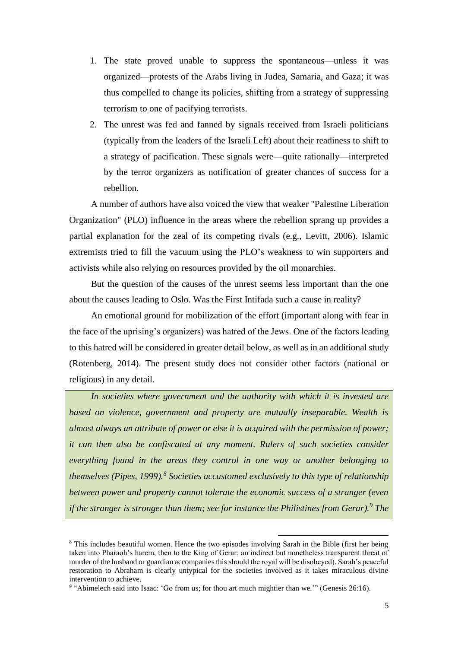- 1. The state proved unable to suppress the spontaneous—unless it was organized—protests of the Arabs living in Judea, Samaria, and Gaza; it was thus compelled to change its policies, shifting from a strategy of suppressing terrorism to one of pacifying terrorists.
- 2. The unrest was fed and fanned by signals received from Israeli politicians (typically from the leaders of the Israeli Left) about their readiness to shift to a strategy of pacification. These signals were—quite rationally—interpreted by the terror organizers as notification of greater chances of success for a rebellion.

A number of authors have also voiced the view that weaker "Palestine Liberation Organization" (PLO) influence in the areas where the rebellion sprang up provides a partial explanation for the zeal of its competing rivals (e.g., Levitt, 2006). Islamic extremists tried to fill the vacuum using the PLO's weakness to win supporters and activists while also relying on resources provided by the oil monarchies.

But the question of the causes of the unrest seems less important than the one about the causes leading to Oslo. Was the First Intifada such a cause in reality?

An emotional ground for mobilization of the effort (important along with fear in the face of the uprising's organizers) was hatred of the Jews. One of the factors leading to this hatred will be considered in greater detail below, as well as in an additional study (Rotenberg, 2014). The present study does not consider other factors (national or religious) in any detail.

*In societies where government and the authority with which it is invested are based on violence, government and property are mutually inseparable. Wealth is almost always an attribute of power or else it is acquired with the permission of power; it can then also be confiscated at any moment. Rulers of such societies consider everything found in the areas they control in one way or another belonging to themselves (Pipes, 1999).<sup>8</sup> Societies accustomed exclusively to this type of relationship between power and property cannot tolerate the economic success of a stranger (even if the stranger is stronger than them; see for instance the Philistines from Gerar).<sup>9</sup> The* 

 $\overline{a}$ 

<sup>&</sup>lt;sup>8</sup> This includes beautiful women. Hence the two episodes involving Sarah in the Bible (first her being taken into Pharaoh's harem, then to the King of Gerar; an indirect but nonetheless transparent threat of murder of the husband or guardian accompanies this should the royal will be disobeyed). Sarah's peaceful restoration to Abraham is clearly untypical for the societies involved as it takes miraculous divine intervention to achieve.

<sup>&</sup>lt;sup>9</sup> "Abimelech said into Isaac: 'Go from us; for thou art much mightier than we.'" (Genesis 26:16).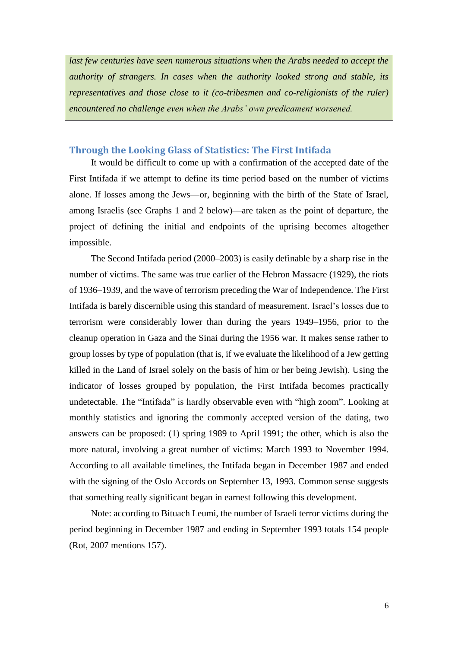*last few centuries have seen numerous situations when the Arabs needed to accept the authority of strangers. In cases when the authority looked strong and stable, its representatives and those close to it (co-tribesmen and co-religionists of the ruler) encountered no challenge even when the Arabs' own predicament worsened.* 

### <span id="page-5-0"></span>**Through the Looking Glass of Statistics: The First Intifada**

It would be difficult to come up with a confirmation of the accepted date of the First Intifada if we attempt to define its time period based on the number of victims alone. If losses among the Jews—or, beginning with the birth of the State of Israel, among Israelis (see Graphs 1 and 2 below)—are taken as the point of departure, the project of defining the initial and endpoints of the uprising becomes altogether impossible.

The Second Intifada period (2000–2003) is easily definable by a sharp rise in the number of victims. The same was true earlier of the Hebron Massacre (1929), the riots of 1936–1939, and the wave of terrorism preceding the War of Independence. The First Intifada is barely discernible using this standard of measurement. Israel's losses due to terrorism were considerably lower than during the years 1949–1956, prior to the cleanup operation in Gaza and the Sinai during the 1956 war. It makes sense rather to group losses by type of population (that is, if we evaluate the likelihood of a Jew getting killed in the Land of Israel solely on the basis of him or her being Jewish). Using the indicator of losses grouped by population, the First Intifada becomes practically undetectable. The "Intifada" is hardly observable even with "high zoom". Looking at monthly statistics and ignoring the commonly accepted version of the dating, two answers can be proposed: (1) spring 1989 to April 1991; the other, which is also the more natural, involving a great number of victims: March 1993 to November 1994. According to all available timelines, the Intifada began in December 1987 and ended with the signing of the Oslo Accords on September 13, 1993. Common sense suggests that something really significant began in earnest following this development.

Note: according to Bituach Leumi, the number of Israeli terror victims during the period beginning in December 1987 and ending in September 1993 totals 154 people (Rot, 2007 mentions 157).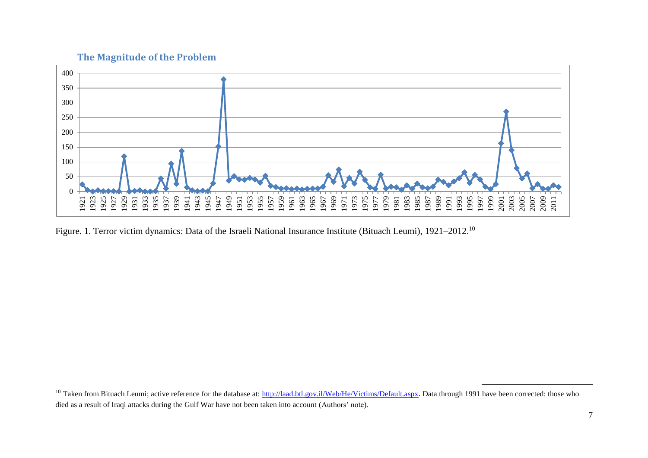



<span id="page-6-0"></span>Figure. 1. Terror victim dynamics: Data of the Israeli National Insurance Institute (Bituach Leumi), 1921–2012.<sup>10</sup>

 $\overline{\phantom{a}}$ 

<sup>&</sup>lt;sup>10</sup> Taken from Bituach Leumi; active reference for the database at: <http://laad.btl.gov.il/Web/He/Victims/Default.aspx>. Data through 1991 have been corrected: those who died as a result of Iraqi attacks during the Gulf War have not been taken into account (Authors' note)*.*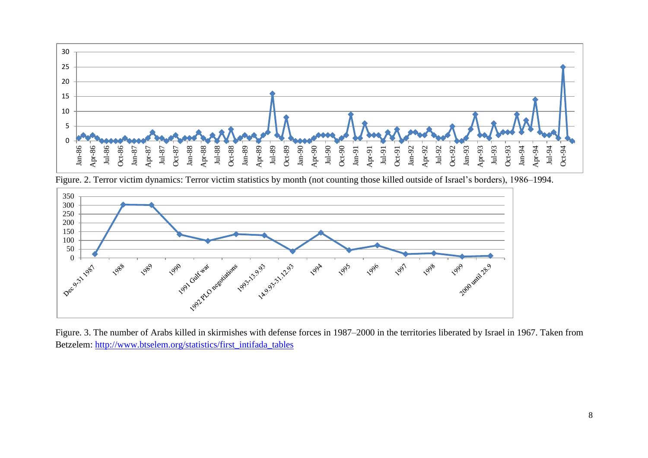

Figure. 2. Terror victim dynamics: Terror victim statistics by month (not counting those killed outside of Israel's borders), 1986–1994.



Figure. 3. The number of Arabs killed in skirmishes with defense forces in 1987–2000 in the territories liberated by Israel in 1967. Taken from Betzelem: [http://www.btselem.org/statistics/first\\_intifada\\_tables](http://www.btselem.org/statistics/first_intifada_tables)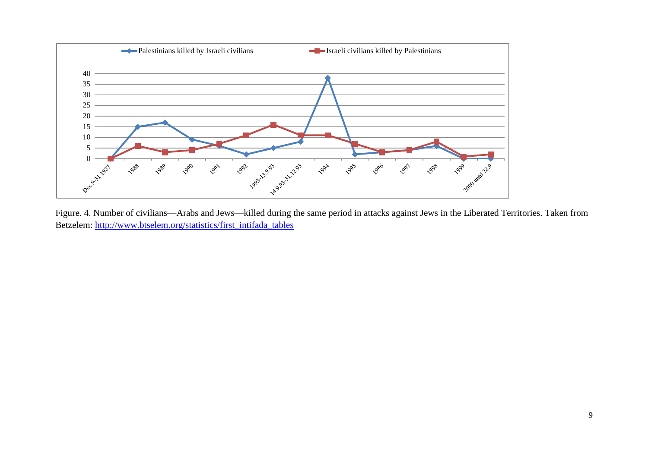

Figure. 4. Number of civilians—Arabs and Jews—killed during the same period in attacks against Jews in the Liberated Territories. Taken from Betzelem: [http://www.btselem.org/statistics/first\\_intifada\\_tables](http://www.btselem.org/statistics/first_intifada_tables)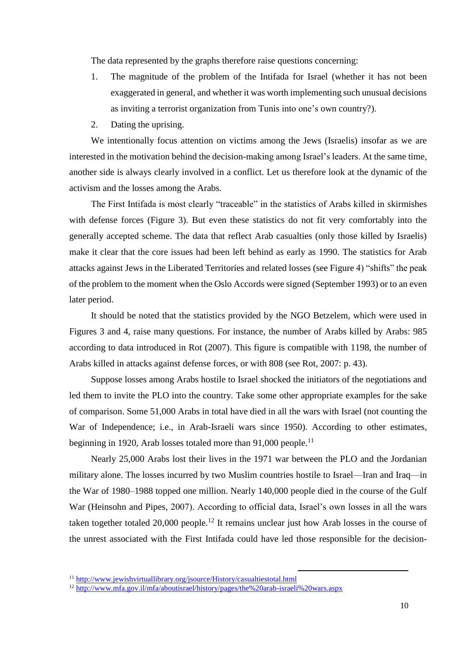The data represented by the graphs therefore raise questions concerning:

- 1. The magnitude of the problem of the Intifada for Israel (whether it has not been exaggerated in general, and whether it was worth implementing such unusual decisions as inviting a terrorist organization from Tunis into one's own country?).
- 2. Dating the uprising.

We intentionally focus attention on victims among the Jews (Israelis) insofar as we are interested in the motivation behind the decision-making among Israel's leaders. At the same time, another side is always clearly involved in a conflict. Let us therefore look at the dynamic of the activism and the losses among the Arabs.

The First Intifada is most clearly "traceable" in the statistics of Arabs killed in skirmishes with defense forces (Figure 3). But even these statistics do not fit very comfortably into the generally accepted scheme. The data that reflect Arab casualties (only those killed by Israelis) make it clear that the core issues had been left behind as early as 1990. The statistics for Arab attacks against Jews in the Liberated Territories and related losses (see Figure 4) "shifts" the peak of the problem to the moment when the Oslo Accords were signed (September 1993) or to an even later period.

It should be noted that the statistics provided by the NGO Betzelem, which were used in Figures 3 and 4, raise many questions. For instance, the number of Arabs killed by Arabs: 985 according to data introduced in Rot (2007). This figure is compatible with 1198, the number of Arabs killed in attacks against defense forces, or with 808 (see Rot, 2007: p. 43).

Suppose losses among Arabs hostile to Israel shocked the initiators of the negotiations and led them to invite the PLO into the country. Take some other appropriate examples for the sake of comparison. Some 51,000 Arabs in total have died in all the wars with Israel (not counting the War of Independence; i.e., in Arab-Israeli wars since 1950). According to other estimates, beginning in 1920, Arab losses totaled more than 91,000 people.<sup>11</sup>

Nearly 25,000 Arabs lost their lives in the 1971 war between the PLO and the Jordanian military alone. The losses incurred by two Muslim countries hostile to Israel—Iran and Iraq—in the War of 1980–1988 topped one million. Nearly 140,000 people died in the course of the Gulf War (Heinsohn and Pipes, 2007). According to official data, Israel's own losses in all the wars taken together totaled 20,000 people.<sup>12</sup> It remains unclear just how Arab losses in the course of the unrest associated with the First Intifada could have led those responsible for the decision-

**<sup>.</sup>** 1[1](http://www.jewishvirtuallibrary.org/jsource/History/casualtiestotal.html) <http://www.jewishvirtuallibrary.org/jsource/History/casualtiestotal.html>

<sup>1</sup>[2](http://www.mfa.gov.il/mfa/aboutisrael/history/pages/the%20arab-israeli%20wars.aspx) <http://www.mfa.gov.il/mfa/aboutisrael/history/pages/the%20arab-israeli%20wars.aspx>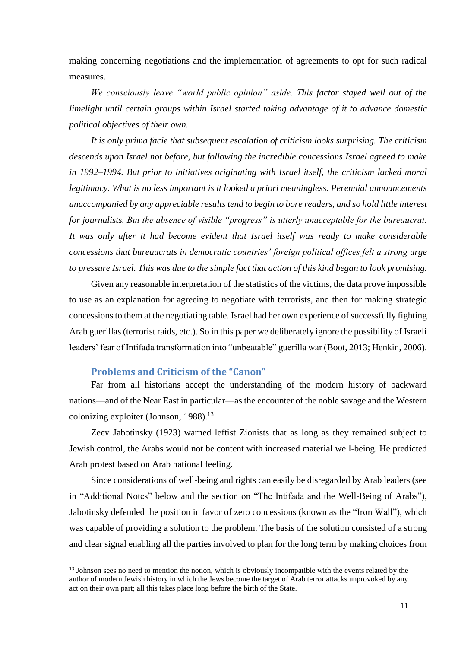making concerning negotiations and the implementation of agreements to opt for such radical measures.

*We consciously leave "world public opinion" aside. This factor stayed well out of the limelight until certain groups within Israel started taking advantage of it to advance domestic political objectives of their own.* 

*It is only prima facie that subsequent escalation of criticism looks surprising. The criticism descends upon Israel not before, but following the incredible concessions Israel agreed to make in 1992–1994. But prior to initiatives originating with Israel itself, the criticism lacked moral legitimacy. What is no less important is it looked a priori meaningless. Perennial announcements unaccompanied by any appreciable results tend to begin to bore readers, and so hold little interest for journalists. But the absence of visible "progress" is utterly unacceptable for the bureaucrat. It was only after it had become evident that Israel itself was ready to make considerable concessions that bureaucrats in democratic countries' foreign political offices felt a strong urge to pressure Israel. This was due to the simple fact that action of this kind began to look promising.* 

Given any reasonable interpretation of the statistics of the victims, the data prove impossible to use as an explanation for agreeing to negotiate with terrorists, and then for making strategic concessions to them at the negotiating table. Israel had her own experience of successfully fighting Arab guerillas (terrorist raids, etc.). So in this paper we deliberately ignore the possibility of Israeli leaders' fear of Intifada transformation into "unbeatable" guerilla war (Boot, 2013; Henkin, 2006).

#### **Problems and Criticism of the "Canon"**

<span id="page-10-0"></span>Far from all historians accept the understanding of the modern history of backward nations—and of the Near East in particular—as the encounter of the noble savage and the Western colonizing exploiter (Johnson, 1988).<sup>13</sup>

Zeev Jabotinsky (1923) warned leftist Zionists that as long as they remained subject to Jewish control, the Arabs would not be content with increased material well-being. He predicted Arab protest based on Arab national feeling.

Since considerations of well-being and rights can easily be disregarded by Arab leaders (see in "Additional Notes" below and the section on "The Intifada and the Well-Being of Arabs"), Jabotinsky defended the position in favor of zero concessions (known as the "Iron Wall"), which was capable of providing a solution to the problem. The basis of the solution consisted of a strong and clear signal enabling all the parties involved to plan for the long term by making choices from

<sup>&</sup>lt;sup>13</sup> Johnson sees no need to mention the notion, which is obviously incompatible with the events related by the author of modern Jewish history in which the Jews become the target of Arab terror attacks unprovoked by any act on their own part; all this takes place long before the birth of the State.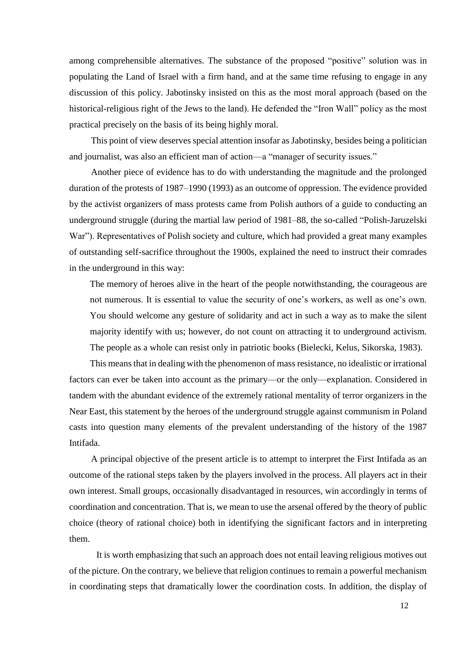among comprehensible alternatives. The substance of the proposed "positive" solution was in populating the Land of Israel with a firm hand, and at the same time refusing to engage in any discussion of this policy. Jabotinsky insisted on this as the most moral approach (based on the historical-religious right of the Jews to the land). He defended the "Iron Wall" policy as the most practical precisely on the basis of its being highly moral.

This point of view deserves special attention insofar as Jabotinsky, besides being a politician and journalist, was also an efficient man of action—a "manager of security issues."

Another piece of evidence has to do with understanding the magnitude and the prolonged duration of the protests of 1987–1990 (1993) as an outcome of oppression. The evidence provided by the activist organizers of mass protests came from Polish authors of a guide to conducting an underground struggle (during the martial law period of 1981–88, the so-called "Polish-Jaruzelski War"). Representatives of Polish society and culture, which had provided a great many examples of outstanding self-sacrifice throughout the 1900s, explained the need to instruct their comrades in the underground in this way:

The memory of heroes alive in the heart of the people notwithstanding, the courageous are not numerous. It is essential to value the security of one's workers, as well as one's own. You should welcome any gesture of solidarity and act in such a way as to make the silent majority identify with us; however, do not count on attracting it to underground activism. The people as a whole can resist only in patriotic books (Bielecki, Kelus, Sikorska, 1983).

This means that in dealing with the phenomenon of mass resistance, no idealistic or irrational factors can ever be taken into account as the primary—or the only—explanation. Considered in tandem with the abundant evidence of the extremely rational mentality of terror organizers in the Near East, this statement by the heroes of the underground struggle against communism in Poland casts into question many elements of the prevalent understanding of the history of the 1987 Intifada.

A principal objective of the present article is to attempt to interpret the First Intifada as an outcome of the rational steps taken by the players involved in the process. All players act in their own interest. Small groups, occasionally disadvantaged in resources, win accordingly in terms of coordination and concentration. That is, we mean to use the arsenal offered by the theory of public choice (theory of rational choice) both in identifying the significant factors and in interpreting them.

It is worth emphasizing that such an approach does not entail leaving religious motives out of the picture. On the contrary, we believe that religion continues to remain a powerful mechanism in coordinating steps that dramatically lower the coordination costs. In addition, the display of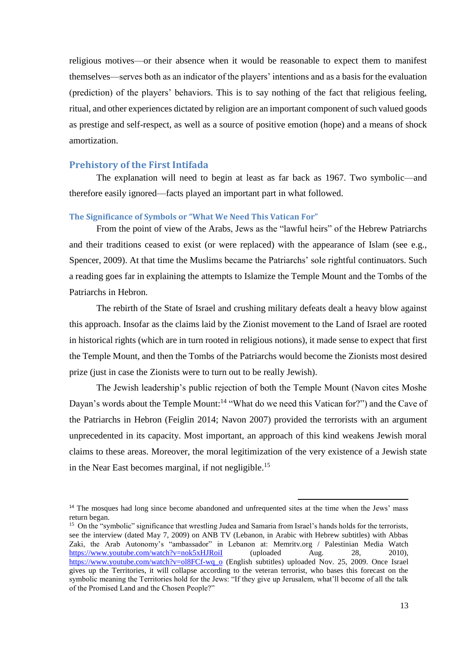religious motives—or their absence when it would be reasonable to expect them to manifest themselves—serves both as an indicator of the players' intentions and as a basis for the evaluation (prediction) of the players' behaviors. This is to say nothing of the fact that religious feeling, ritual, and other experiences dictated by religion are an important component of such valued goods as prestige and self-respect, as well as a source of positive emotion (hope) and a means of shock amortization.

#### <span id="page-12-0"></span>**Prehistory of the First Intifada**

The explanation will need to begin at least as far back as 1967. Two symbolic—and therefore easily ignored—facts played an important part in what followed.

#### <span id="page-12-1"></span>**The Significance of Symbols or "What We Need This Vatican For"**

From the point of view of the Arabs, Jews as the "lawful heirs" of the Hebrew Patriarchs and their traditions ceased to exist (or were replaced) with the appearance of Islam (see e.g., Spencer, 2009). At that time the Muslims became the Patriarchs' sole rightful continuators. Such a reading goes far in explaining the attempts to Islamize the Temple Mount and the Tombs of the Patriarchs in Hebron.

The rebirth of the State of Israel and crushing military defeats dealt a heavy blow against this approach. Insofar as the claims laid by the Zionist movement to the Land of Israel are rooted in historical rights (which are in turn rooted in religious notions), it made sense to expect that first the Temple Mount, and then the Tombs of the Patriarchs would become the Zionists most desired prize (just in case the Zionists were to turn out to be really Jewish).

The Jewish leadership's public rejection of both the Temple Mount (Navon cites Moshe Dayan's words about the Temple Mount:<sup>14</sup> "What do we need this Vatican for?") and the Cave of the Patriarchs in Hebron (Feiglin 2014; Navon 2007) provided the terrorists with an argument unprecedented in its capacity. Most important, an approach of this kind weakens Jewish moral claims to these areas. Moreover, the moral legitimization of the very existence of a Jewish state in the Near East becomes marginal, if not negligible.<sup>15</sup>

**.** 

<sup>&</sup>lt;sup>14</sup> The mosques had long since become abandoned and unfrequented sites at the time when the Jews' mass return began.

<sup>&</sup>lt;sup>15</sup> On the "symbolic" significance that wrestling Judea and Samaria from Israel's hands holds for the terrorists, see the interview (dated May 7, 2009) on ANB TV (Lebanon, in Arabic with Hebrew subtitles) with Abbas Zaki, the Arab Autonomy's "ambassador" in Lebanon at: Memritv.org / Palestinian Media Watch <https://www.youtube.com/watch?v=nok5xHJRoiI> (uploaded Aug. 28, 2010), [https://www.youtube.com/watch?v=ol8FCf-wq\\_o](https://www.youtube.com/watch?v=ol8FCf-wq_o) (English subtitles) uploaded Nov. 25, 2009. Once Israel gives up the Territories, it will collapse according to the veteran terrorist, who bases this forecast on the symbolic meaning the Territories hold for the Jews: "If they give up Jerusalem, what'll become of all the talk of the Promised Land and the Chosen People?"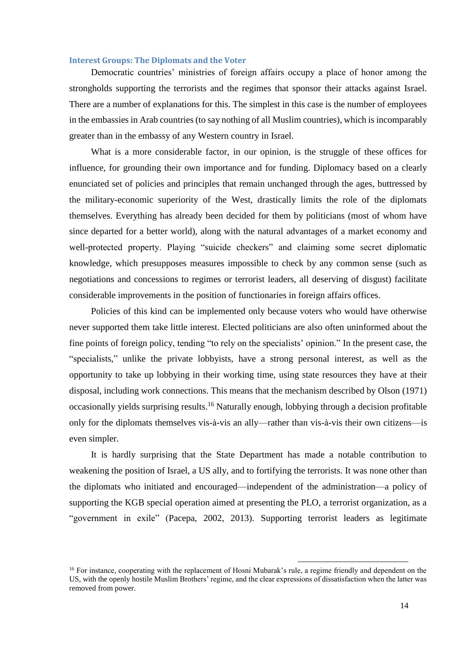#### <span id="page-13-0"></span>**Interest Groups: The Diplomats and the Voter**

Democratic countries' ministries of foreign affairs occupy a place of honor among the strongholds supporting the terrorists and the regimes that sponsor their attacks against Israel. There are a number of explanations for this. The simplest in this case is the number of employees in the embassies in Arab countries (to say nothing of all Muslim countries), which is incomparably greater than in the embassy of any Western country in Israel.

What is a more considerable factor, in our opinion, is the struggle of these offices for influence, for grounding their own importance and for funding. Diplomacy based on a clearly enunciated set of policies and principles that remain unchanged through the ages, buttressed by the military-economic superiority of the West, drastically limits the role of the diplomats themselves. Everything has already been decided for them by politicians (most of whom have since departed for a better world), along with the natural advantages of a market economy and well-protected property. Playing "suicide checkers" and claiming some secret diplomatic knowledge, which presupposes measures impossible to check by any common sense (such as negotiations and concessions to regimes or terrorist leaders, all deserving of disgust) facilitate considerable improvements in the position of functionaries in foreign affairs offices.

Policies of this kind can be implemented only because voters who would have otherwise never supported them take little interest. Elected politicians are also often uninformed about the fine points of foreign policy, tending "to rely on the specialists' opinion." In the present case, the "specialists," unlike the private lobbyists, have a strong personal interest, as well as the opportunity to take up lobbying in their working time, using state resources they have at their disposal, including work connections. This means that the mechanism described by Olson (1971) occasionally yields surprising results.<sup>16</sup> Naturally enough, lobbying through a decision profitable only for the diplomats themselves vis-à-vis an ally—rather than vis-à-vis their own citizens—is even simpler.

It is hardly surprising that the State Department has made a notable contribution to weakening the position of Israel, a US ally, and to fortifying the terrorists. It was none other than the diplomats who initiated and encouraged—independent of the administration—a policy of supporting the KGB special operation aimed at presenting the PLO, a terrorist organization, as a "government in exile" (Pacepa, 2002, 2013). Supporting terrorist leaders as legitimate

<sup>&</sup>lt;sup>16</sup> For instance, cooperating with the replacement of Hosni Mubarak's rule, a regime friendly and dependent on the US, with the openly hostile Muslim Brothers' regime, and the clear expressions of dissatisfaction when the latter was removed from power.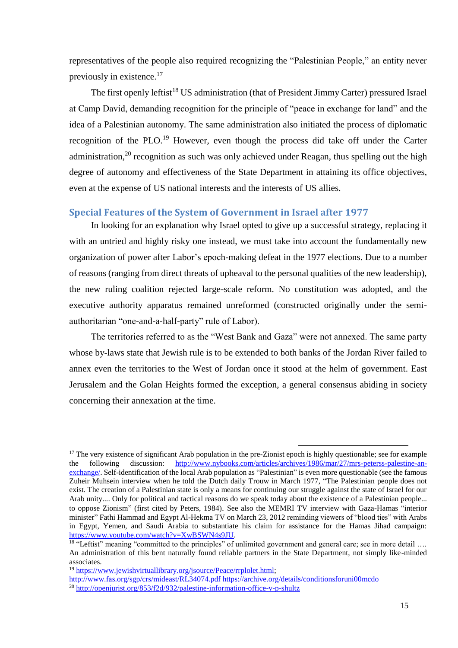representatives of the people also required recognizing the "Palestinian People," an entity never previously in existence. 17

The first openly leftist<sup>18</sup> US administration (that of President Jimmy Carter) pressured Israel at Camp David, demanding recognition for the principle of "peace in exchange for land" and the idea of a Palestinian autonomy. The same administration also initiated the process of diplomatic recognition of the PLO.<sup>19</sup> However, even though the process did take off under the Carter administration, $2<sup>0</sup>$  recognition as such was only achieved under Reagan, thus spelling out the high degree of autonomy and effectiveness of the State Department in attaining its office objectives, even at the expense of US national interests and the interests of US allies.

#### <span id="page-14-0"></span>**Special Features of the System of Government in Israel after 1977**

In looking for an explanation why Israel opted to give up a successful strategy, replacing it with an untried and highly risky one instead, we must take into account the fundamentally new organization of power after Labor's epoch-making defeat in the 1977 elections. Due to a number of reasons (ranging from direct threats of upheaval to the personal qualities of the new leadership), the new ruling coalition rejected large-scale reform. No constitution was adopted, and the executive authority apparatus remained unreformed (constructed originally under the semiauthoritarian "one-and-a-half-party" rule of Labor).

The territories referred to as the "West Bank and Gaza" were not annexed. The same party whose by-laws state that Jewish rule is to be extended to both banks of the Jordan River failed to annex even the territories to the West of Jordan once it stood at the helm of government. East Jerusalem and the Golan Heights formed the exception, a general consensus abiding in society concerning their annexation at the time.

 $17$  The very existence of significant Arab population in the pre-Zionist epoch is highly questionable; see for example the following discussion: [http://www.nybooks.com/articles/archives/1986/mar/27/mrs-peterss-palestine-an](http://www.nybooks.com/articles/archives/1986/mar/27/mrs-peterss-palestine-an-exchange/)[exchange/.](http://www.nybooks.com/articles/archives/1986/mar/27/mrs-peterss-palestine-an-exchange/) Self-identification of the local Arab population as "Palestinian" is even more questionable (see the famous Zuheir Muhsein interview when he told the Dutch daily Trouw in March 1977, "The Palestinian people does not exist. The creation of a Palestinian state is only a means for continuing our struggle against the state of Israel for our Arab unity.... Only for political and tactical reasons do we speak today about the existence of a Palestinian people... to oppose Zionism" (first cited by Peters, 1984). See also the MEMRI TV interview with Gaza-Hamas "interior minister" Fathi Hammad and Egypt Al-Hekma TV on March 23, 2012 reminding viewers of "blood ties" with Arabs in Egypt, Yemen, and Saudi Arabia to substantiate his claim for assistance for the Hamas Jihad campaign: [https://www.youtube.com/watch?v=XwBSWN4s9JU.](https://www.youtube.com/watch?v=XwBSWN4s9JU)

<sup>&</sup>lt;sup>18</sup> "Leftist" meaning "committed to the principles" of unlimited government and general care; see in more detail .... An administration of this bent naturally found reliable partners in the State Department, not simply like-minded associates.

<sup>1</sup>[9](https://www.jewishvirtuallibrary.org/jsource/Peace/rrplolet.html) [https://www.jewishvirtuallibrary.org/jsource/Peace/rrplolet.html;](https://www.jewishvirtuallibrary.org/jsource/Peace/rrplolet.html)

<http://www.fas.org/sgp/crs/mideast/RL34074.pdf> <https://archive.org/details/conditionsforuni00mcdo>

<sup>&</sup>lt;sup>2[0](http://openjurist.org/853/f2d/932/palestine-information-office-v-p-shultz)</sup> <http://openjurist.org/853/f2d/932/palestine-information-office-v-p-shultz>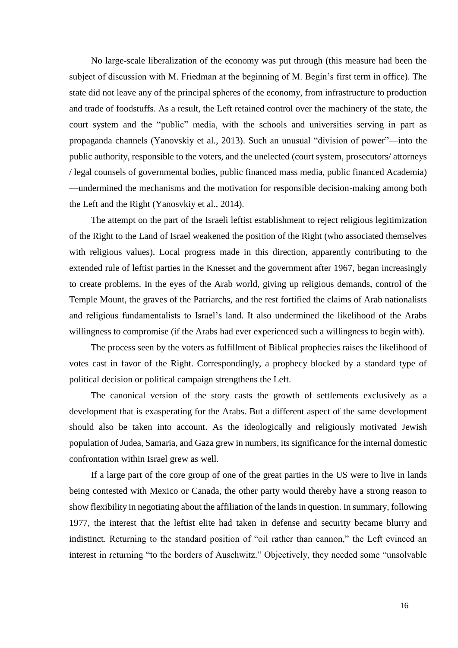No large-scale liberalization of the economy was put through (this measure had been the subject of discussion with M. Friedman at the beginning of M. Begin's first term in office). The state did not leave any of the principal spheres of the economy, from infrastructure to production and trade of foodstuffs. As a result, the Left retained control over the machinery of the state, the court system and the "public" media, with the schools and universities serving in part as propaganda channels (Yanovskiy et al., 2013). Such an unusual "division of power"—into the public authority, responsible to the voters, and the unelected (court system, prosecutors/ attorneys / legal counsels of governmental bodies, public financed mass media, public financed Academia) —undermined the mechanisms and the motivation for responsible decision-making among both the Left and the Right (Yanosvkiy et al., 2014).

The attempt on the part of the Israeli leftist establishment to reject religious legitimization of the Right to the Land of Israel weakened the position of the Right (who associated themselves with religious values). Local progress made in this direction, apparently contributing to the extended rule of leftist parties in the Knesset and the government after 1967, began increasingly to create problems. In the eyes of the Arab world, giving up religious demands, control of the Temple Mount, the graves of the Patriarchs, and the rest fortified the claims of Arab nationalists and religious fundamentalists to Israel's land. It also undermined the likelihood of the Arabs willingness to compromise (if the Arabs had ever experienced such a willingness to begin with).

The process seen by the voters as fulfillment of Biblical prophecies raises the likelihood of votes cast in favor of the Right. Correspondingly, a prophecy blocked by a standard type of political decision or political campaign strengthens the Left.

The canonical version of the story casts the growth of settlements exclusively as a development that is exasperating for the Arabs. But a different aspect of the same development should also be taken into account. As the ideologically and religiously motivated Jewish population of Judea, Samaria, and Gaza grew in numbers, its significance for the internal domestic confrontation within Israel grew as well.

If a large part of the core group of one of the great parties in the US were to live in lands being contested with Mexico or Canada, the other party would thereby have a strong reason to show flexibility in negotiating about the affiliation of the lands in question. In summary, following 1977, the interest that the leftist elite had taken in defense and security became blurry and indistinct. Returning to the standard position of "oil rather than cannon," the Left evinced an interest in returning "to the borders of Auschwitz." Objectively, they needed some "unsolvable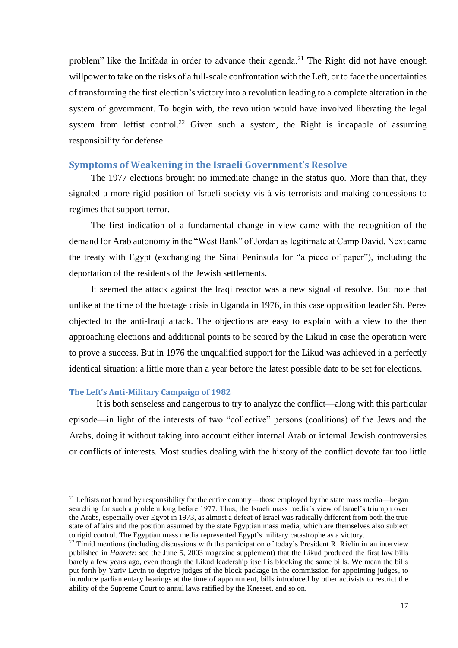problem" like the Intifada in order to advance their agenda.<sup>21</sup> The Right did not have enough willpower to take on the risks of a full-scale confrontation with the Left, or to face the uncertainties of transforming the first election's victory into a revolution leading to a complete alteration in the system of government. To begin with, the revolution would have involved liberating the legal system from leftist control.<sup>22</sup> Given such a system, the Right is incapable of assuming responsibility for defense.

#### <span id="page-16-0"></span>**Symptoms of Weakening in the Israeli Government's Resolve**

The 1977 elections brought no immediate change in the status quo. More than that, they signaled a more rigid position of Israeli society vis-à-vis terrorists and making concessions to regimes that support terror.

The first indication of a fundamental change in view came with the recognition of the demand for Arab autonomy in the "West Bank" of Jordan as legitimate at Camp David. Next came the treaty with Egypt (exchanging the Sinai Peninsula for "a piece of paper"), including the deportation of the residents of the Jewish settlements.

It seemed the attack against the Iraqi reactor was a new signal of resolve. But note that unlike at the time of the hostage crisis in Uganda in 1976, in this case opposition leader Sh. Peres objected to the anti-Iraqi attack. The objections are easy to explain with a view to the then approaching elections and additional points to be scored by the Likud in case the operation were to prove a success. But in 1976 the unqualified support for the Likud was achieved in a perfectly identical situation: a little more than a year before the latest possible date to be set for elections.

#### <span id="page-16-1"></span>**The Left's Anti-Military Campaign of 1982**

It is both senseless and dangerous to try to analyze the conflict—along with this particular episode—in light of the interests of two "collective" persons (coalitions) of the Jews and the Arabs, doing it without taking into account either internal Arab or internal Jewish controversies or conflicts of interests. Most studies dealing with the history of the conflict devote far too little

**.** 

<sup>&</sup>lt;sup>21</sup> Leftists not bound by responsibility for the entire country—those employed by the state mass media—began searching for such a problem long before 1977. Thus, the Israeli mass media's view of Israel's triumph over the Arabs, especially over Egypt in 1973, as almost a defeat of Israel was radically different from both the true state of affairs and the position assumed by the state Egyptian mass media, which are themselves also subject to rigid control. The Egyptian mass media represented Egypt's military catastrophe as a victory.

<sup>&</sup>lt;sup>22</sup> Timid mentions (including discussions with the participation of today's President R. Rivlin in an interview published in *Haaretz*; see the June 5, 2003 magazine supplement) that the Likud produced the first law bills barely a few years ago, even though the Likud leadership itself is blocking the same bills. We mean the bills put forth by Yariv Levin to deprive judges of the block package in the commission for appointing judges, to introduce parliamentary hearings at the time of appointment, bills introduced by other activists to restrict the ability of the Supreme Court to annul laws ratified by the Knesset, and so on.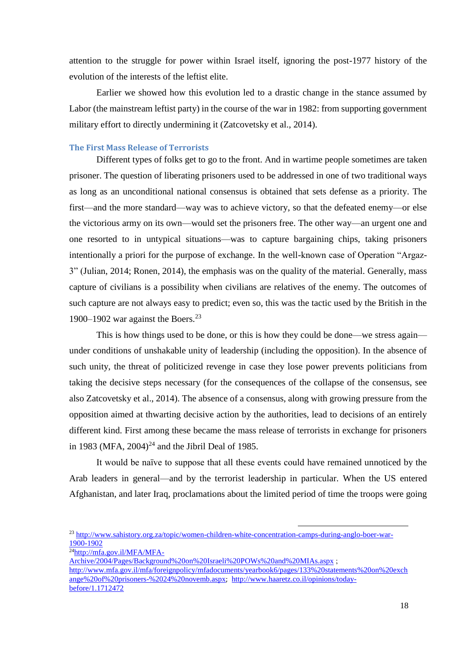attention to the struggle for power within Israel itself, ignoring the post-1977 history of the evolution of the interests of the leftist elite.

Earlier we showed how this evolution led to a drastic change in the stance assumed by Labor (the mainstream leftist party) in the course of the war in 1982: from supporting government military effort to directly undermining it (Zatcovetsky et al., 2014).

#### <span id="page-17-0"></span>**The First Mass Release of Terrorists**

Different types of folks get to go to the front. And in wartime people sometimes are taken prisoner. The question of liberating prisoners used to be addressed in one of two traditional ways as long as an unconditional national consensus is obtained that sets defense as a priority. The first—and the more standard—way was to achieve victory, so that the defeated enemy—or else the victorious army on its own—would set the prisoners free. The other way—an urgent one and one resorted to in untypical situations—was to capture bargaining chips, taking prisoners intentionally a priori for the purpose of exchange. In the well-known case of Operation "Argaz-3" (Julian, 2014; Ronen, 2014), the emphasis was on the quality of the material. Generally, mass capture of civilians is a possibility when civilians are relatives of the enemy. The outcomes of such capture are not always easy to predict; even so, this was the tactic used by the British in the 1900–1902 war against the Boers.<sup>23</sup>

This is how things used to be done, or this is how they could be done—we stress again under conditions of unshakable unity of leadership (including the opposition). In the absence of such unity, the threat of politicized revenge in case they lose power prevents politicians from taking the decisive steps necessary (for the consequences of the collapse of the consensus, see also Zatcovetsky et al., 2014). The absence of a consensus, along with growing pressure from the opposition aimed at thwarting decisive action by the authorities, lead to decisions of an entirely different kind. First among these became the mass release of terrorists in exchange for prisoners in 1983 (MFA,  $2004$ <sup>24</sup> and the Jibril Deal of 1985.

It would be naïve to suppose that all these events could have remained unnoticed by the Arab leaders in general—and by the terrorist leadership in particular. When the US entered Afghanistan, and later Iraq, proclamations about the limited period of time the troops were going

**.** 

24[http://mfa.gov.il/MFA/MFA-](http://mfa.gov.il/MFA/MFA-Archive/2004/Pages/Background%20on%20Israeli%20POWs%20and%20MIAs.aspx)

[Archive/2004/Pages/Background%20on%20Israeli%20POWs%20and%20MIAs.aspx](http://mfa.gov.il/MFA/MFA-Archive/2004/Pages/Background%20on%20Israeli%20POWs%20and%20MIAs.aspx) [;](http://www.mfa.gov.il/mfa/foreignpolicy/mfadocuments/yearbook6/pages/133%20statements%20on%20exchange%20of%20prisoners-%2024%20novemb.aspx)

[http://www.mfa.gov.il/mfa/foreignpolicy/mfadocuments/yearbook6/pages/133%20statements%20on%20exch](http://www.mfa.gov.il/mfa/foreignpolicy/mfadocuments/yearbook6/pages/133%20statements%20on%20exchange%20of%20prisoners-%2024%20novemb.aspx) [ange%20of%20prisoners-%2024%20novemb.aspx](http://www.mfa.gov.il/mfa/foreignpolicy/mfadocuments/yearbook6/pages/133%20statements%20on%20exchange%20of%20prisoners-%2024%20novemb.aspx); [http://www.haaretz.co.il/opinions/today](http://www.haaretz.co.il/opinions/today-before/1.1712472)[before/1.1712472](http://www.haaretz.co.il/opinions/today-before/1.1712472)

<sup>&</sup>lt;sup>2[3](http://www.sahistory.org.za/topic/women-children-white-concentration-camps-during-anglo-boer-war-1900-1902)</sup> [http://www.sahistory.org.za/topic/women-children-white-concentration-camps-during-anglo-boer-war-](http://www.sahistory.org.za/topic/women-children-white-concentration-camps-during-anglo-boer-war-1900-1902)[1900-1902](http://www.sahistory.org.za/topic/women-children-white-concentration-camps-during-anglo-boer-war-1900-1902)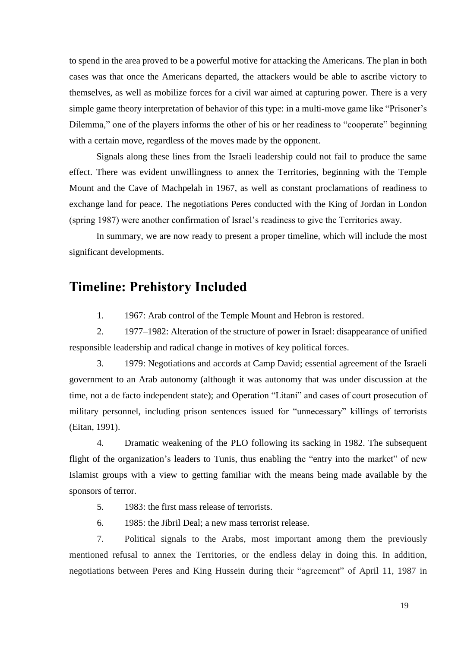to spend in the area proved to be a powerful motive for attacking the Americans. The plan in both cases was that once the Americans departed, the attackers would be able to ascribe victory to themselves, as well as mobilize forces for a civil war aimed at capturing power. There is a very simple game theory interpretation of behavior of this type: in a multi-move game like "Prisoner's Dilemma," one of the players informs the other of his or her readiness to "cooperate" beginning with a certain move, regardless of the moves made by the opponent.

Signals along these lines from the Israeli leadership could not fail to produce the same effect. There was evident unwillingness to annex the Territories, beginning with the Temple Mount and the Cave of Machpelah in 1967, as well as constant proclamations of readiness to exchange land for peace. The negotiations Peres conducted with the King of Jordan in London (spring 1987) were another confirmation of Israel's readiness to give the Territories away.

In summary, we are now ready to present a proper timeline, which will include the most significant developments.

## <span id="page-18-0"></span>**Timeline: Prehistory Included**

1. 1967: Arab control of the Temple Mount and Hebron is restored.

2. 1977–1982: Alteration of the structure of power in Israel: disappearance of unified responsible leadership and radical change in motives of key political forces.

3. 1979: Negotiations and accords at Camp David; essential agreement of the Israeli government to an Arab autonomy (although it was autonomy that was under discussion at the time, not a de facto independent state); and Operation "Litani" and cases of court prosecution of military personnel, including prison sentences issued for "unnecessary" killings of terrorists (Eitan, 1991).

4. Dramatic weakening of the PLO following its sacking in 1982. The subsequent flight of the organization's leaders to Tunis, thus enabling the "entry into the market" of new Islamist groups with a view to getting familiar with the means being made available by the sponsors of terror.

- 5. 1983: the first mass release of terrorists.
- 6. 1985: the Jibril Deal; a new mass terrorist release.

7. Political signals to the Arabs, most important among them the previously mentioned refusal to annex the Territories, or the endless delay in doing this. In addition, negotiations between Peres and King Hussein during their "agreement" of April 11, 1987 in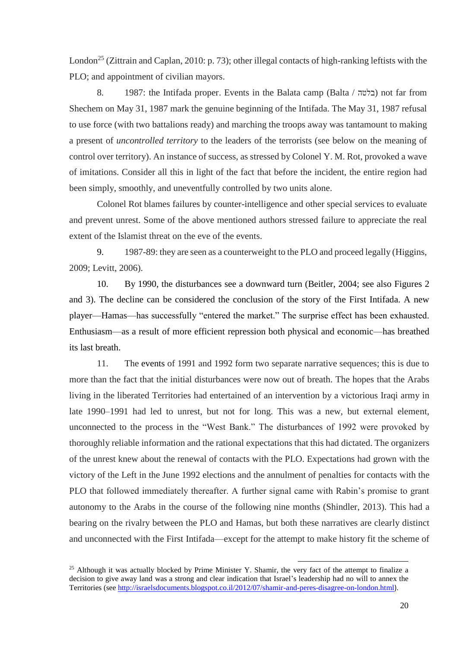London<sup>25</sup> (Zittrain and Caplan, 2010: p. 73); other illegal contacts of high-ranking leftists with the PLO; and appointment of civilian mayors.

8. 1987: the Intifada proper. Events in the Balata camp (Balta / בלטה) not far from Shechem on May 31, 1987 mark the genuine beginning of the Intifada. The May 31, 1987 refusal to use force (with two battalions ready) and marching the troops away was tantamount to making a present of *uncontrolled territory* to the leaders of the terrorists (see below on the meaning of control over territory). An instance of success, as stressed by Colonel Y. M. Rot, provoked a wave of imitations. Consider all this in light of the fact that before the incident, the entire region had been simply, smoothly, and uneventfully controlled by two units alone.

Colonel Rot blames failures by counter-intelligence and other special services to evaluate and prevent unrest. Some of the above mentioned authors stressed failure to appreciate the real extent of the Islamist threat on the eve of the events.

9. 1987-89: they are seen as a counterweight to the PLO and proceed legally (Higgins, 2009; Levitt, 2006).

10. By 1990, the disturbances see a downward turn (Beitler, 2004; see also Figures 2 and 3). The decline can be considered the conclusion of the story of the First Intifada. A new player—Hamas—has successfully "entered the market." The surprise effect has been exhausted. Enthusiasm—as a result of more efficient repression both physical and economic—has breathed its last breath.

11. The events of 1991 and 1992 form two separate narrative sequences; this is due to more than the fact that the initial disturbances were now out of breath. The hopes that the Arabs living in the liberated Territories had entertained of an intervention by a victorious Iraqi army in late 1990–1991 had led to unrest, but not for long. This was a new, but external element, unconnected to the process in the "West Bank." The disturbances of 1992 were provoked by thoroughly reliable information and the rational expectations that this had dictated. The organizers of the unrest knew about the renewal of contacts with the PLO. Expectations had grown with the victory of the Left in the June 1992 elections and the annulment of penalties for contacts with the PLO that followed immediately thereafter. A further signal came with Rabin's promise to grant autonomy to the Arabs in the course of the following nine months (Shindler, 2013). This had a bearing on the rivalry between the PLO and Hamas, but both these narratives are clearly distinct and unconnected with the First Intifada—except for the attempt to make history fit the scheme of

**.** 

<sup>&</sup>lt;sup>25</sup> Although it was actually blocked by Prime Minister Y. Shamir, the very fact of the attempt to finalize a decision to give away land was a strong and clear indication that Israel's leadership had no will to annex the Territories (see<http://israelsdocuments.blogspot.co.il/2012/07/shamir-and-peres-disagree-on-london.html>).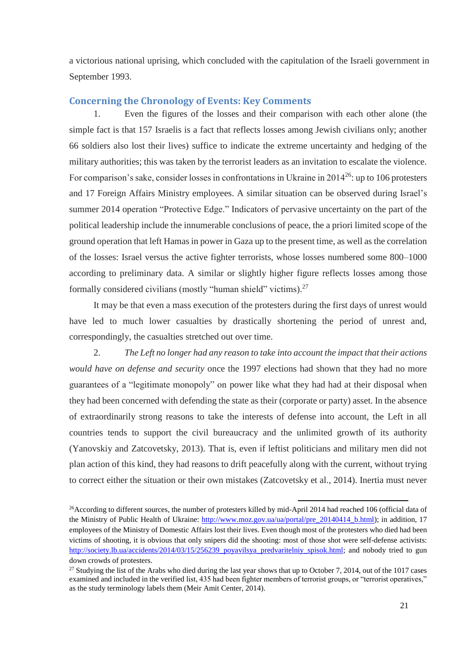a victorious national uprising, which concluded with the capitulation of the Israeli government in September 1993.

#### <span id="page-20-0"></span>**Concerning the Chronology of Events: Key Comments**

Even the figures of the losses and their comparison with each other alone (the simple fact is that 157 Israelis is a fact that reflects losses among Jewish civilians only; another 66 soldiers also lost their lives) suffice to indicate the extreme uncertainty and hedging of the military authorities; this was taken by the terrorist leaders as an invitation to escalate the violence. For comparison's sake, consider losses in confrontations in Ukraine in 2014<sup>26</sup>: up to 106 protesters and 17 Foreign Affairs Ministry employees. A similar situation can be observed during Israel's summer 2014 operation "Protective Edge." Indicators of pervasive uncertainty on the part of the political leadership include the innumerable conclusions of peace, the a priori limited scope of the ground operation that left Hamas in power in Gaza up to the present time, as well as the correlation of the losses: Israel versus the active fighter terrorists, whose losses numbered some 800–1000 according to preliminary data. A similar or slightly higher figure reflects losses among those formally considered civilians (mostly "human shield" victims).<sup>27</sup>

It may be that even a mass execution of the protesters during the first days of unrest would have led to much lower casualties by drastically shortening the period of unrest and, correspondingly, the casualties stretched out over time.

2. *The Left no longer had any reason to take into account the impact that their actions would have on defense and security* once the 1997 elections had shown that they had no more guarantees of a "legitimate monopoly" on power like what they had had at their disposal when they had been concerned with defending the state as their (corporate or party) asset. In the absence of extraordinarily strong reasons to take the interests of defense into account, the Left in all countries tends to support the civil bureaucracy and the unlimited growth of its authority (Yanovskiy and Zatcovetsky, 2013). That is, even if leftist politicians and military men did not plan action of this kind, they had reasons to drift peacefully along with the current, without trying to correct either the situation or their own mistakes (Zatcovetsky et al., 2014). Inertia must never

 $\overline{\phantom{a}}$ <sup>26</sup>According to different sources, the number of protesters killed by mid-April 2014 had reached 106 (official data of the Ministry of Public Health of Ukraine: [http://www.moz.gov.ua/ua/portal/pre\\_20140414\\_b.html\)](http://www.moz.gov.ua/ua/portal/pre_20140414_b.html); in addition, 17 employees of the Ministry of Domestic Affairs lost their lives. Even though most of the protesters who died had been victims of shooting, it is obvious that only snipers did the shooting: most of those shot were self-defense activists: [http://society.lb.ua/accidents/2014/03/15/256239\\_poyavilsya\\_predvaritelniy\\_spisok.html;](http://society.lb.ua/accidents/2014/03/15/256239_poyavilsya_predvaritelniy_spisok.html) and nobody tried to gun down crowds of protesters.

<sup>&</sup>lt;sup>27</sup> Studying the list of the Arabs who died during the last year shows that up to October 7, 2014, out of the 1017 cases examined and included in the verified list, 435 had been fighter members of terrorist groups, or "terrorist operatives," as the study terminology labels them (Meir Amit Center, 2014).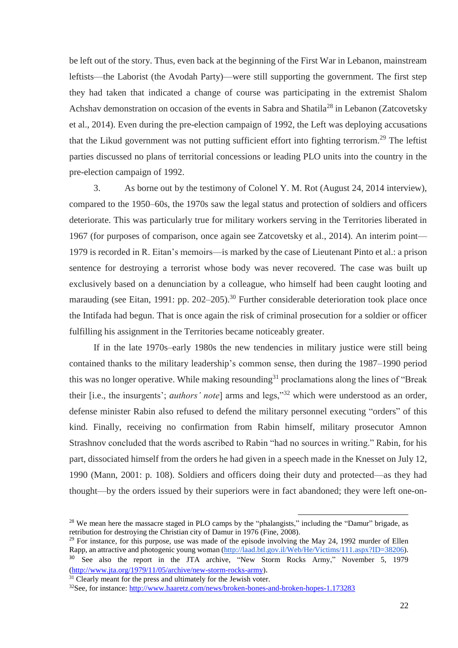be left out of the story. Thus, even back at the beginning of the First War in Lebanon, mainstream leftists—the Laborist (the Avodah Party)—were still supporting the government. The first step they had taken that indicated a change of course was participating in the extremist Shalom Achshav demonstration on occasion of the events in Sabra and Shatila<sup>28</sup> in Lebanon (Zatcovetsky et al., 2014). Even during the pre-election campaign of 1992, the Left was deploying accusations that the Likud government was not putting sufficient effort into fighting terrorism.<sup>29</sup> The leftist parties discussed no plans of territorial concessions or leading PLO units into the country in the pre-election campaign of 1992.

3. As borne out by the testimony of Colonel Y. M. Rot (August 24, 2014 interview), compared to the 1950–60s, the 1970s saw the legal status and protection of soldiers and officers deteriorate. This was particularly true for military workers serving in the Territories liberated in 1967 (for purposes of comparison, once again see Zatcovetsky et al., 2014). An interim point— 1979 is recorded in R. Eitan's memoirs—is marked by the case of Lieutenant Pinto et al.: a prison sentence for destroying a terrorist whose body was never recovered. The case was built up exclusively based on a denunciation by a colleague, who himself had been caught looting and marauding (see Eitan, 1991: pp. 202–205).<sup>30</sup> Further considerable deterioration took place once the Intifada had begun. That is once again the risk of criminal prosecution for a soldier or officer fulfilling his assignment in the Territories became noticeably greater.

If in the late 1970s–early 1980s the new tendencies in military justice were still being contained thanks to the military leadership's common sense, then during the 1987–1990 period this was no longer operative. While making resounding<sup>31</sup> proclamations along the lines of "Break" their [i.e., the insurgents'; *authors' note*] arms and legs,"<sup>32</sup> which were understood as an order, defense minister Rabin also refused to defend the military personnel executing "orders" of this kind. Finally, receiving no confirmation from Rabin himself, military prosecutor Amnon Strashnov concluded that the words ascribed to Rabin "had no sources in writing." Rabin, for his part, dissociated himself from the orders he had given in a speech made in the Knesset on July 12, 1990 (Mann, 2001: p. 108). Soldiers and officers doing their duty and protected—as they had thought—by the orders issued by their superiors were in fact abandoned; they were left one-on-

**.** 

<sup>29</sup> For instance, for this purpose, use was made of the episode involving the May 24, 1992 murder of Ellen Rapp, an attractive and photogenic young woman [\(http://laad.btl.gov.il/Web/He/Victims/111.aspx?ID=38206\)](http://laad.btl.gov.il/Web/He/Victims/111.aspx?ID=38206). <sup>30</sup> See also the report in the JTA archive, "New Storm Rocks Army," November 5, 1979 [\(http://www.jta.org/1979/11/05/archive/new-storm-rocks-army\)](http://www.jta.org/1979/11/05/archive/new-storm-rocks-army).

 $31$  Clearly meant for the press and ultimately for the Jewish voter.

 $28$  We mean here the massacre staged in PLO camps by the "phalangists," including the "Damur" brigade, as retribution for destroying the Christian city of Damur in 1976 (Fine, 2008).

<sup>32</sup>See, for instance:<http://www.haaretz.com/news/broken-bones-and-broken-hopes-1.173283>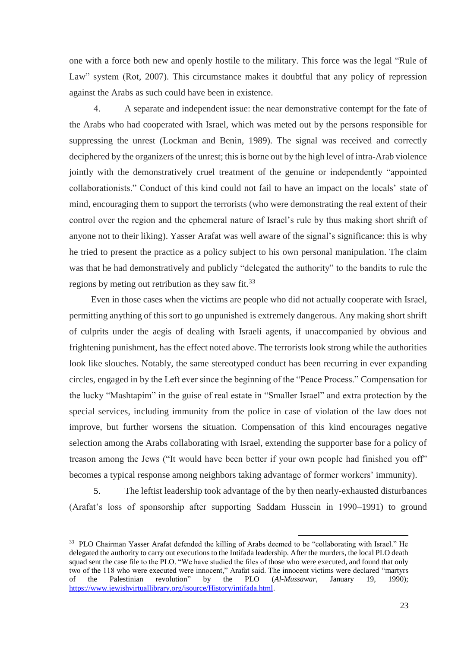one with a force both new and openly hostile to the military. This force was the legal "Rule of Law" system (Rot, 2007). This circumstance makes it doubtful that any policy of repression against the Arabs as such could have been in existence.

4. A separate and independent issue: the near demonstrative contempt for the fate of the Arabs who had cooperated with Israel, which was meted out by the persons responsible for suppressing the unrest (Lockman and Benin, 1989). The signal was received and correctly deciphered by the organizers of the unrest; this is borne out by the high level of intra-Arab violence jointly with the demonstratively cruel treatment of the genuine or independently "appointed collaborationists." Conduct of this kind could not fail to have an impact on the locals' state of mind, encouraging them to support the terrorists (who were demonstrating the real extent of their control over the region and the ephemeral nature of Israel's rule by thus making short shrift of anyone not to their liking). Yasser Arafat was well aware of the signal's significance: this is why he tried to present the practice as a policy subject to his own personal manipulation. The claim was that he had demonstratively and publicly "delegated the authority" to the bandits to rule the regions by meting out retribution as they saw fit.<sup>33</sup>

Even in those cases when the victims are people who did not actually cooperate with Israel, permitting anything of this sort to go unpunished is extremely dangerous. Any making short shrift of culprits under the aegis of dealing with Israeli agents, if unaccompanied by obvious and frightening punishment, has the effect noted above. The terrorists look strong while the authorities look like slouches. Notably, the same stereotyped conduct has been recurring in ever expanding circles, engaged in by the Left ever since the beginning of the "Peace Process." Compensation for the lucky "Mashtapim" in the guise of real estate in "Smaller Israel" and extra protection by the special services, including immunity from the police in case of violation of the law does not improve, but further worsens the situation. Compensation of this kind encourages negative selection among the Arabs collaborating with Israel, extending the supporter base for a policy of treason among the Jews ("It would have been better if your own people had finished you off" becomes a typical response among neighbors taking advantage of former workers' immunity).

5. The leftist leadership took advantage of the by then nearly-exhausted disturbances (Arafat's loss of sponsorship after supporting Saddam Hussein in 1990–1991) to ground

<sup>33</sup> PLO Chairman Yasser Arafat defended the killing of Arabs deemed to be "collaborating with Israel." He delegated the authority to carry out executions to the Intifada leadership. After the murders, the local PLO death squad sent the case file to the PLO. "We have studied the files of those who were executed, and found that only two of the 118 who were executed were innocent," Arafat said. The innocent victims were declared "martyrs of the Palestinian revolution" by the PLO (*Al-Mussawar*, January 19, 1990); [https://www.jewishvirtuallibrary.org/jsource/History/intifada.html.](https://www.jewishvirtuallibrary.org/jsource/History/intifada.html)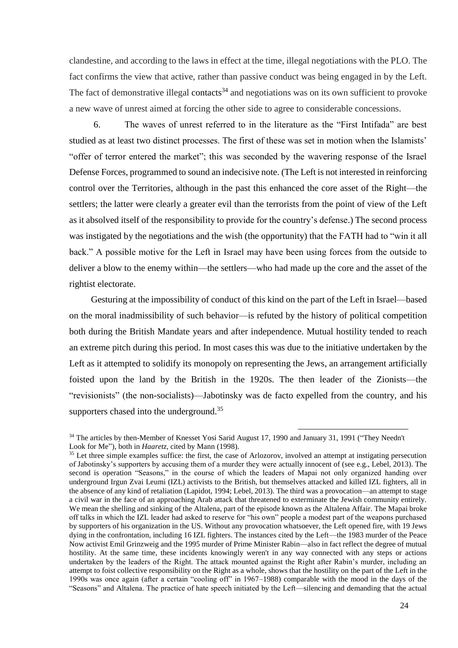clandestine, and according to the laws in effect at the time, illegal negotiations with the PLO. The fact confirms the view that active, rather than passive conduct was being engaged in by the Left. The fact of demonstrative illegal contacts<sup>34</sup> and negotiations was on its own sufficient to provoke a new wave of unrest aimed at forcing the other side to agree to considerable concessions.

6. The waves of unrest referred to in the literature as the "First Intifada" are best studied as at least two distinct processes. The first of these was set in motion when the Islamists' "offer of terror entered the market"; this was seconded by the wavering response of the Israel Defense Forces, programmed to sound an indecisive note. (The Left is not interested in reinforcing control over the Territories, although in the past this enhanced the core asset of the Right—the settlers; the latter were clearly a greater evil than the terrorists from the point of view of the Left as it absolved itself of the responsibility to provide for the country's defense.) The second process was instigated by the negotiations and the wish (the opportunity) that the FATH had to "win it all back." A possible motive for the Left in Israel may have been using forces from the outside to deliver a blow to the enemy within—the settlers—who had made up the core and the asset of the rightist electorate.

Gesturing at the impossibility of conduct of this kind on the part of the Left in Israel—based on the moral inadmissibility of such behavior—is refuted by the history of political competition both during the British Mandate years and after independence. Mutual hostility tended to reach an extreme pitch during this period. In most cases this was due to the initiative undertaken by the Left as it attempted to solidify its monopoly on representing the Jews, an arrangement artificially foisted upon the land by the British in the 1920s. The then leader of the Zionists—the "revisionists" (the non-socialists)—Jabotinsky was de facto expelled from the country, and his supporters chased into the underground.<sup>35</sup>

<sup>&</sup>lt;sup>34</sup> The articles by then-Member of Knesset Yosi Sarid August 17, 1990 and January 31, 1991 ("They Needn't Look for Me"), both in *Haaretz*, cited by Mann (1998).

<sup>&</sup>lt;sup>35</sup> Let three simple examples suffice: the first, the case of Arlozorov, involved an attempt at instigating persecution of Jabotinsky's supporters by accusing them of a murder they were actually innocent of (see e.g., Lebel, 2013). The second is operation "Seasons," in the course of which the leaders of Mapai not only organized handing over underground Irgun Zvai Leumi (IZL) activists to the British, but themselves attacked and killed IZL fighters, all in the absence of any kind of retaliation (Lapidot, 1994; Lebel, 2013). The third was a provocation—an attempt to stage a civil war in the face of an approaching Arab attack that threatened to exterminate the Jewish community entirely. We mean the shelling and sinking of the Altalena, part of the episode known as the Altalena Affair. The Mapai broke off talks in which the IZL leader had asked to reserve for "his own" people a modest part of the weapons purchased by supporters of his organization in the US. Without any provocation whatsoever, the Left opened fire, with 19 Jews dying in the confrontation, including 16 IZL fighters. The instances cited by the Left—the 1983 murder of the Peace Now activist Emil Grinzweig and the 1995 murder of Prime Minister Rabin—also in fact reflect the degree of mutual hostility. At the same time, these incidents knowingly weren't in any way connected with any steps or actions undertaken by the leaders of the Right. The attack mounted against the Right after Rabin's murder, including an attempt to foist collective responsibility on the Right as a whole, shows that the hostility on the part of the Left in the 1990s was once again (after a certain "cooling off" in 1967–1988) comparable with the mood in the days of the "Seasons" and Altalena. The practice of hate speech initiated by the Left—silencing and demanding that the actual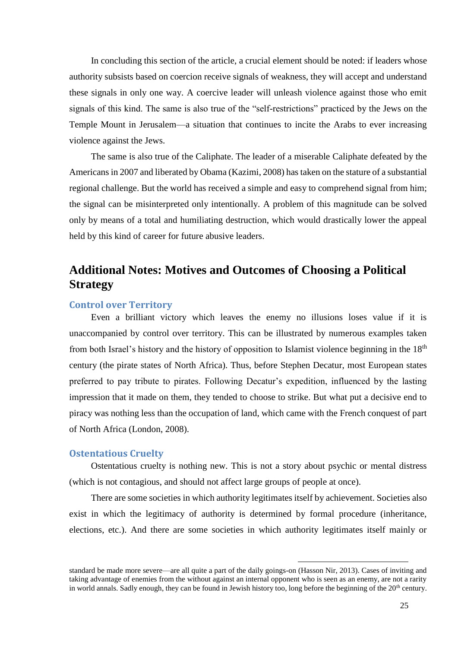In concluding this section of the article, a crucial element should be noted: if leaders whose authority subsists based on coercion receive signals of weakness, they will accept and understand these signals in only one way. A coercive leader will unleash violence against those who emit signals of this kind. The same is also true of the "self-restrictions" practiced by the Jews on the Temple Mount in Jerusalem—a situation that continues to incite the Arabs to ever increasing violence against the Jews.

The same is also true of the Caliphate. The leader of a miserable Caliphate defeated by the Americans in 2007 and liberated by Obama (Kazimi, 2008) has taken on the stature of a substantial regional challenge. But the world has received a simple and easy to comprehend signal from him; the signal can be misinterpreted only intentionally. A problem of this magnitude can be solved only by means of a total and humiliating destruction, which would drastically lower the appeal held by this kind of career for future abusive leaders.

## <span id="page-24-0"></span>**Additional Notes: Motives and Outcomes of Choosing a Political Strategy**

#### <span id="page-24-1"></span>**Control over Territory**

Even a brilliant victory which leaves the enemy no illusions loses value if it is unaccompanied by control over territory. This can be illustrated by numerous examples taken from both Israel's history and the history of opposition to Islamist violence beginning in the 18<sup>th</sup> century (the pirate states of North Africa). Thus, before Stephen Decatur, most European states preferred to pay tribute to pirates. Following Decatur's expedition, influenced by the lasting impression that it made on them, they tended to choose to strike. But what put a decisive end to piracy was nothing less than the occupation of land, which came with the French conquest of part of North Africa (London, 2008).

#### <span id="page-24-2"></span>**Ostentatious Cruelty**

Ostentatious cruelty is nothing new. This is not a story about psychic or mental distress (which is not contagious, and should not affect large groups of people at once).

There are some societies in which authority legitimates itself by achievement. Societies also exist in which the legitimacy of authority is determined by formal procedure (inheritance, elections, etc.). And there are some societies in which authority legitimates itself mainly or

standard be made more severe—are all quite a part of the daily goings-on (Hasson Nir, 2013). Cases of inviting and taking advantage of enemies from the without against an internal opponent who is seen as an enemy, are not a rarity in world annals. Sadly enough, they can be found in Jewish history too, long before the beginning of the  $20<sup>th</sup>$  century.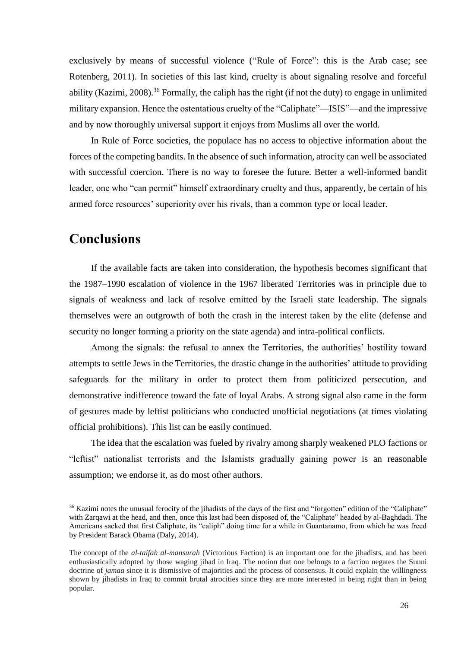exclusively by means of successful violence ("Rule of Force": this is the Arab case; see Rotenberg, 2011). In societies of this last kind, cruelty is about signaling resolve and forceful ability (Kazimi, 2008).<sup>36</sup> Formally, the caliph has the right (if not the duty) to engage in unlimited military expansion. Hence the ostentatious cruelty of the "Caliphate"—ISIS"—and the impressive and by now thoroughly universal support it enjoys from Muslims all over the world.

In Rule of Force societies, the populace has no access to objective information about the forces of the competing bandits. In the absence of such information, atrocity can well be associated with successful coercion. There is no way to foresee the future. Better a well-informed bandit leader, one who "can permit" himself extraordinary cruelty and thus, apparently, be certain of his armed force resources' superiority over his rivals, than a common type or local leader.

## <span id="page-25-0"></span>**Conclusions**

If the available facts are taken into consideration, the hypothesis becomes significant that the 1987–1990 escalation of violence in the 1967 liberated Territories was in principle due to signals of weakness and lack of resolve emitted by the Israeli state leadership. The signals themselves were an outgrowth of both the crash in the interest taken by the elite (defense and security no longer forming a priority on the state agenda) and intra-political conflicts.

Among the signals: the refusal to annex the Territories, the authorities' hostility toward attempts to settle Jews in the Territories, the drastic change in the authorities' attitude to providing safeguards for the military in order to protect them from politicized persecution, and demonstrative indifference toward the fate of loyal Arabs. A strong signal also came in the form of gestures made by leftist politicians who conducted unofficial negotiations (at times violating official prohibitions). This list can be easily continued.

The idea that the escalation was fueled by rivalry among sharply weakened PLO factions or "leftist" nationalist terrorists and the Islamists gradually gaining power is an reasonable assumption; we endorse it, as do most other authors.

**.** 

<sup>&</sup>lt;sup>36</sup> Kazimi notes the unusual ferocity of the jihadists of the days of the first and "forgotten" edition of the "Caliphate" with Zarqawi at the head, and then, once this last had been disposed of, the "Caliphate" headed by al-Baghdadi. The Americans sacked that first Caliphate, its "caliph" doing time for a while in Guantanamo, from which he was freed by President Barack Obama (Daly, 2014).

The concept of the *al-taifah al-mansurah* (Victorious Faction) is an important one for the jihadists, and has been enthusiastically adopted by those waging jihad in Iraq. The notion that one belongs to a faction negates the Sunni doctrine of *jamaa* since it is dismissive of majorities and the process of consensus. It could explain the willingness shown by jihadists in Iraq to commit brutal atrocities since they are more interested in being right than in being popular.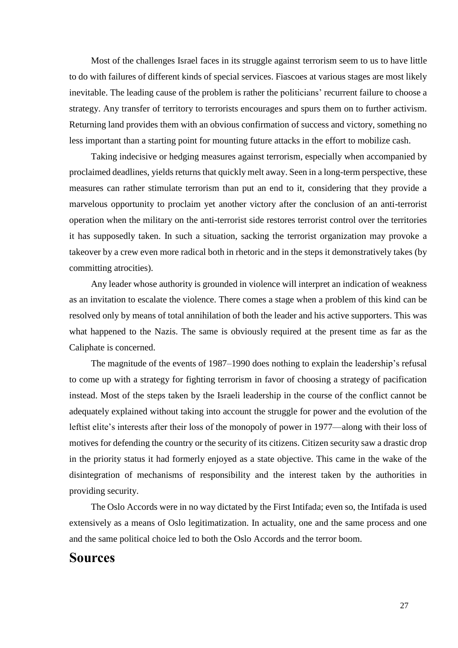Most of the challenges Israel faces in its struggle against terrorism seem to us to have little to do with failures of different kinds of special services. Fiascoes at various stages are most likely inevitable. The leading cause of the problem is rather the politicians' recurrent failure to choose a strategy. Any transfer of territory to terrorists encourages and spurs them on to further activism. Returning land provides them with an obvious confirmation of success and victory, something no less important than a starting point for mounting future attacks in the effort to mobilize cash.

Taking indecisive or hedging measures against terrorism, especially when accompanied by proclaimed deadlines, yields returns that quickly melt away. Seen in a long-term perspective, these measures can rather stimulate terrorism than put an end to it, considering that they provide a marvelous opportunity to proclaim yet another victory after the conclusion of an anti-terrorist operation when the military on the anti-terrorist side restores terrorist control over the territories it has supposedly taken. In such a situation, sacking the terrorist organization may provoke a takeover by a crew even more radical both in rhetoric and in the steps it demonstratively takes (by committing atrocities).

Any leader whose authority is grounded in violence will interpret an indication of weakness as an invitation to escalate the violence. There comes a stage when a problem of this kind can be resolved only by means of total annihilation of both the leader and his active supporters. This was what happened to the Nazis. The same is obviously required at the present time as far as the Caliphate is concerned.

The magnitude of the events of 1987–1990 does nothing to explain the leadership's refusal to come up with a strategy for fighting terrorism in favor of choosing a strategy of pacification instead. Most of the steps taken by the Israeli leadership in the course of the conflict cannot be adequately explained without taking into account the struggle for power and the evolution of the leftist elite's interests after their loss of the monopoly of power in 1977—along with their loss of motives for defending the country or the security of its citizens. Citizen security saw a drastic drop in the priority status it had formerly enjoyed as a state objective. This came in the wake of the disintegration of mechanisms of responsibility and the interest taken by the authorities in providing security.

The Oslo Accords were in no way dictated by the First Intifada; even so, the Intifada is used extensively as a means of Oslo legitimatization. In actuality, one and the same process and one and the same political choice led to both the Oslo Accords and the terror boom.

### <span id="page-26-0"></span>**Sources**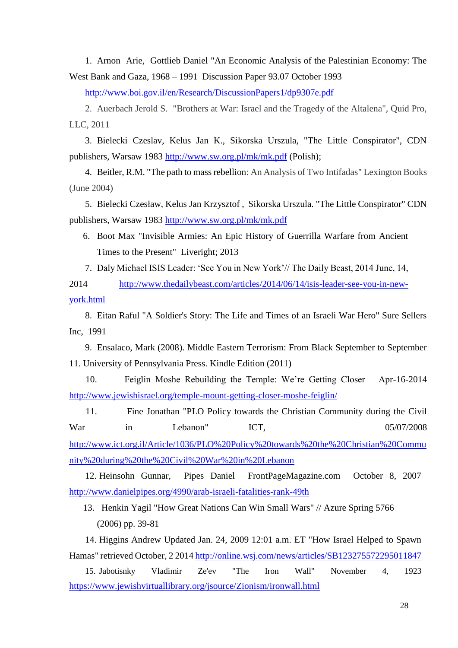1. Arnon Arie, Gottlieb Daniel "An Economic Analysis of the Palestinian Economy: The West Bank and Gaza, 1968 – 1991 Discussion Paper 93.07 October 1993

<http://www.boi.gov.il/en/Research/DiscussionPapers1/dp9307e.pdf>

2. Auerbach Jerold S. "Brothers at War: Israel and the Tragedy of the Altalena", Quid Pro, LLC, 2011

3. Bielecki Czeslav, Kelus Jan K., Sikorska Urszula, "The Little Conspirator", CDN publishers, Warsaw 1983 <http://www.sw.org.pl/mk/mk.pdf> (Polish);

4. Beitler, R.M. "The path to mass rebellion: An Analysis of Two Intifadas" Lexington Books (June 2004)

5. Bielecki Czesław, Kelus Jan Krzysztof , Sikorska Urszula. "The Little Conspirator" CDN publishers, Warsaw 1983<http://www.sw.org.pl/mk/mk.pdf>

6. Boot Max "Invisible Armies: An Epic History of Guerrilla Warfare from Ancient Times to the Present" Liveright; 2013

7. Daly Michael ISIS Leader: 'See You in New York'// The Daily Beast, 2014 June, 14,

2014 [http://www.thedailybeast.com/articles/2014/06/14/isis-leader-see-you-in-new](http://www.thedailybeast.com/articles/2014/06/14/isis-leader-see-you-in-new-york.html)[york.html](http://www.thedailybeast.com/articles/2014/06/14/isis-leader-see-you-in-new-york.html)

8. Eitan Raful "A Soldier's Story: The Life and Times of an Israeli War Hero" Sure Sellers Inc, 1991

9. Ensalaco, Mark (2008). Middle Eastern Terrorism: From Black September to September 11. University of Pennsylvania Press. Kindle Edition (2011)

10. Feiglin Moshe Rebuilding the Temple: We're Getting Closer Apr-16-2014 <http://www.jewishisrael.org/temple-mount-getting-closer-moshe-feiglin/>

11. Fine Jonathan "PLO Policy towards the Christian Community during the Civil War in Lebanon" ICT, 05/07/2008 [http://www.ict.org.il/Article/1036/PLO%20Policy%20towards%20the%20Christian%20Commu](http://www.ict.org.il/Article/1036/PLO%20Policy%20towards%20the%20Christian%20Community%20during%20the%20Civil%20War%20in%20Lebanon)

[nity%20during%20the%20Civil%20War%20in%20Lebanon](http://www.ict.org.il/Article/1036/PLO%20Policy%20towards%20the%20Christian%20Community%20during%20the%20Civil%20War%20in%20Lebanon)

12. Heinsohn Gunnar, Pipes Daniel FrontPageMagazine.com October 8, 2007 <http://www.danielpipes.org/4990/arab-israeli-fatalities-rank-49th>

13. Henkin Yagil "How Great Nations Can Win Small Wars" // Azure Spring 5766 (2006) pp. 39-81

14. Higgins Andrew Updated Jan. 24, 2009 12:01 a.m. ET "How Israel Helped to Spawn Hamas" retrieved October, 2 2014<http://online.wsj.com/news/articles/SB123275572295011847>

15. Jabotisnky Vladimir Ze'ev "The Iron Wall" November 4, 1923 <https://www.jewishvirtuallibrary.org/jsource/Zionism/ironwall.html>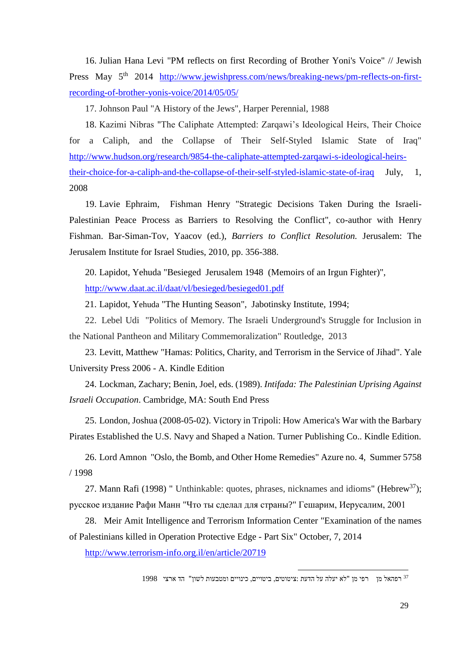16. Julian Hana Levi "PM reflects on first Recording of Brother Yoni's Voice" // Jewish Press May 5<sup>th</sup> 2014 [http://www.jewishpress.com/news/breaking-news/pm-reflects-on-first](http://www.jewishpress.com/news/breaking-news/pm-reflects-on-first-recording-of-brother-yonis-voice/2014/05/05/)[recording-of-brother-yonis-voice/2014/05/05/](http://www.jewishpress.com/news/breaking-news/pm-reflects-on-first-recording-of-brother-yonis-voice/2014/05/05/)

17. Johnson Paul "A History of the Jews", Harper Perennial, 1988

18. Kazimi Nibras "The Caliphate Attempted: Zarqawi's Ideological Heirs, Their Choice for a Caliph, and the Collapse of Their Self-Styled Islamic State of Iraq" [http://www.hudson.org/research/9854-the-caliphate-attempted-zarqawi-s-ideological-heirs](http://www.hudson.org/research/9854-the-caliphate-attempted-zarqawi-s-ideological-heirs-their-choice-for-a-caliph-and-the-collapse-of-their-self-styled-islamic-state-of-iraq)[their-choice-for-a-caliph-and-the-collapse-of-their-self-styled-islamic-state-of-iraq](http://www.hudson.org/research/9854-the-caliphate-attempted-zarqawi-s-ideological-heirs-their-choice-for-a-caliph-and-the-collapse-of-their-self-styled-islamic-state-of-iraq) July, 1, 2008

19. Lavie Ephraim, Fishman Henry "Strategic Decisions Taken During the Israeli-Palestinian Peace Process as Barriers to Resolving the Conflict", co-author with Henry Fishman. Bar-Siman-Tov, Yaacov (ed.), *Barriers to Conflict Resolution.* Jerusalem: The Jerusalem Institute for Israel Studies, 2010, pp. 356-388.

20. Lapidot, Yehuda "Besieged Jerusalem 1948 (Memoirs of an Irgun Fighter)", <http://www.daat.ac.il/daat/vl/besieged/besieged01.pdf>

21. Lapidot, Yehuda "The Hunting Season", Jabotinsky Institute, 1994;

22. [Lebel](http://www.routledge.com/books/search/author/udi_lebel/) Udi "Politics of Memory. The Israeli Underground's Struggle for Inclusion in the National Pantheon and Military Commemoralization" Routledge, 2013

23. Levitt, Matthew "Hamas: Politics, Charity, and Terrorism in the Service of Jihad". Yale University Press 2006 - A. Kindle Edition

24. Lockman, Zachary; Benin, Joel, eds. (1989). *Intifada: The Palestinian Uprising Against Israeli Occupation*. Cambridge, MA: South End Press

25. London, Joshua (2008-05-02). Victory in Tripoli: How America's War with the Barbary Pirates Established the U.S. Navy and Shaped a Nation. Turner Publishing Co.. Kindle Edition.

26. Lord Amnon "Oslo, the Bomb, and Other Home Remedies" Azure no. 4, Summer 5758 / 1998

27. Mann Rafi (1998) " Unthinkable: quotes, phrases, nicknames and idioms" (Hebrew<sup>37</sup>); русское издание Рафи Манн "Что ты сделал для страны?" Гешарим, Иерусалим, 2001

28. Meir Amit Intelligence and Terrorism Information Center "Examination of the names of Palestinians killed in Operation Protective Edge - Part Six" October, 7, 2014

<http://www.terrorism-info.org.il/en/article/20719>

**.** 

רפהאל מן רפי מן "לא יעלה על הדעת :ציטוטים, ביטויים, כינויים ומטבעות לשון" הד ארצי 1998 <sup>37</sup>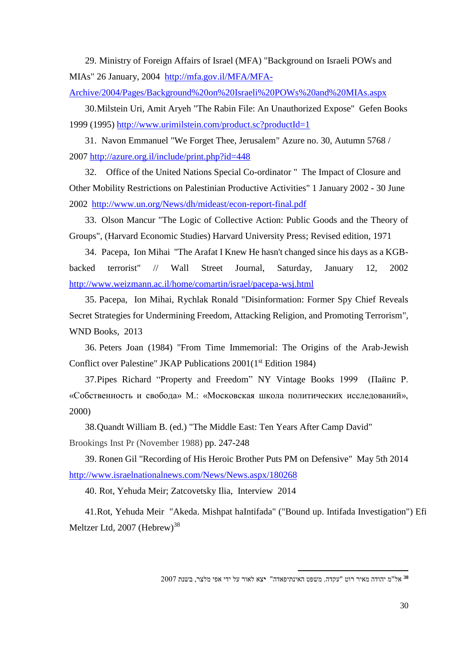29. Ministry of Foreign Affairs of Israel (MFA) "Background on Israeli POWs and MIAs" 26 January, 2004 [http://mfa.gov.il/MFA/MFA-](http://mfa.gov.il/MFA/MFA-Archive/2004/Pages/Background%20on%20Israeli%20POWs%20and%20MIAs.aspx)

[Archive/2004/Pages/Background%20on%20Israeli%20POWs%20and%20MIAs.aspx](http://mfa.gov.il/MFA/MFA-Archive/2004/Pages/Background%20on%20Israeli%20POWs%20and%20MIAs.aspx)

30.Milstein Uri, Amit Aryeh "The Rabin File: An Unauthorized Expose" Gefen Books 1999 (1995)<http://www.urimilstein.com/product.sc?productId=1>

31. Navon Emmanuel "We Forget Thee, Jerusalem" Azure no. 30, Autumn 5768 / 2007<http://azure.org.il/include/print.php?id=448>

32. Office of the United Nations Special Co-ordinator " The Impact of Closure and Other Mobility Restrictions on Palestinian Productive Activities" 1 January 2002 - 30 June 2002 <http://www.un.org/News/dh/mideast/econ-report-final.pdf>

33. Olson Mancur "The Logic of Collective Action: Public Goods and the Theory of Groups", (Harvard Economic Studies) Harvard University Press; Revised edition, 1971

34. Pacepa, Ion Mihai "The Arafat I Knew He hasn't changed since his days as a KGBbacked terrorist" // Wall Street Journal, Saturday, January 12, 2002 <http://www.weizmann.ac.il/home/comartin/israel/pacepa-wsj.html>

35. Pacepa, Ion Mihai, Rychlak Ronald "Disinformation: Former Spy Chief Reveals Secret Strategies for Undermining Freedom, Attacking Religion, and Promoting Terrorism", WND Books, 2013

36. Peters Joan (1984) "From Time Immemorial: The Origins of the Arab-Jewish Conflict over Palestine" JKAP Publications 2001(1<sup>st</sup> Edition 1984)

37.Pipes Richard "Property and Freedom" NY Vintage Books 1999 (Пайпс Р. «Собственность и свобода» М.: «Московская школа политических исследований», 2000)

38.Quandt William B. (ed.) "The Middle East: Ten Years After Camp David" Brookings Inst Pr (November 1988) pp. 247-248

39. Ronen Gil "Recording of His Heroic Brother Puts PM on Defensive" May 5th 2014 <http://www.israelnationalnews.com/News/News.aspx/180268>

40. Rot, Yehuda Meir; Zatcovetsky Ilia, Interview 2014

41.Rot, Yehuda Meir "Akeda. Mishpat haIntifada" ("Bound up. Intifada Investigation") Efi Meltzer Ltd, 2007 (Hebrew)<sup>38</sup>

**.** 

אל"מ יהודה מאיר רוט "עקדה. משפט האינתיפאדה" **י**צא לאור על ידי אפי מלצר, בשנת 7002 **<sup>38</sup>**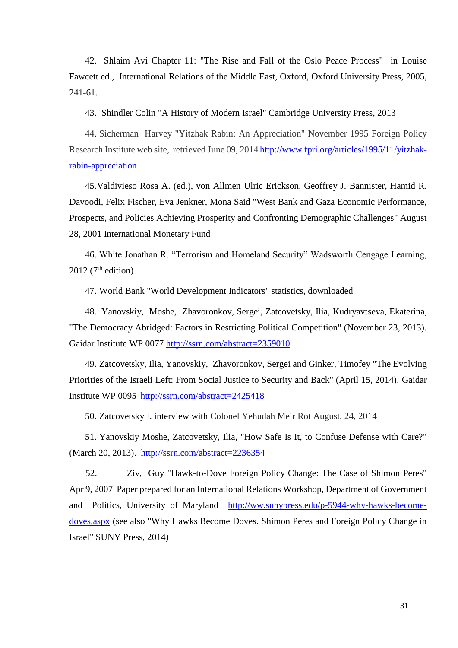42. Shlaim Avi Chapter 11: "The Rise and Fall of the Oslo Peace Process" in Louise Fawcett ed., International Relations of the Middle East, Oxford, Oxford University Press, 2005, 241-61.

43. Shindler Colin "A History of Modern Israel" Cambridge University Press, 2013

44. Sicherman Harvey "Yitzhak Rabin: An Appreciation" November 1995 Foreign Policy Research Institute web site, retrieved June 09, 2014 [http://www.fpri.org/articles/1995/11/yitzhak](http://www.fpri.org/articles/1995/11/yitzhak-rabin-appreciation)[rabin-appreciation](http://www.fpri.org/articles/1995/11/yitzhak-rabin-appreciation)

45.Valdivieso Rosa A. (ed.), von Allmen Ulric Erickson, Geoffrey J. Bannister, Hamid R. Davoodi, Felix Fischer, Eva Jenkner, Mona Said "West Bank and Gaza Economic Performance, Prospects, and Policies Achieving Prosperity and Confronting Demographic Challenges" August 28, 2001 International Monetary Fund

46. White Jonathan R. "Terrorism and Homeland Security" Wadsworth Cengage Learning, 2012 ( $7<sup>th</sup>$  edition)

47. World Bank "World Development Indicators" statistics, downloaded

48. Yanovskiy, Moshe, Zhavoronkov, Sergei, Zatcovetsky, Ilia, Kudryavtseva, Ekaterina, "The Democracy Abridged: Factors in Restricting Political Competition" (November 23, 2013). Gaidar Institute WP 0077 <http://ssrn.com/abstract=2359010>

49. Zatcovetsky, Ilia, Yanovskiy, Zhavoronkov, Sergei and Ginker, Timofey "The Evolving Priorities of the Israeli Left: From Social Justice to Security and Back" (April 15, 2014). Gaidar Institute WP 0095<http://ssrn.com/abstract=2425418>

50. Zatcovetsky I. interview with Colonel Yehudah Meir Rot August, 24, 2014

51. Yanovskiy Moshe, Zatcovetsky, Ilia, "How Safe Is It, to Confuse Defense with Care?" (March 20, 2013). <http://ssrn.com/abstract=2236354>

52. Ziv, Guy "Hawk-to-Dove Foreign Policy Change: The Case of Shimon Peres" Apr 9, 2007 Paper prepared for an International Relations Workshop, Department of Government and Politics, University of Maryland [http://ww.sunypress.edu/p-5944-why-hawks-become](http://ww.sunypress.edu/p-5944-why-hawks-become-doves.aspx)[doves.aspx](http://ww.sunypress.edu/p-5944-why-hawks-become-doves.aspx) (see also "Why Hawks Become Doves. Shimon Peres and Foreign Policy Change in Israel" SUNY Press, 2014)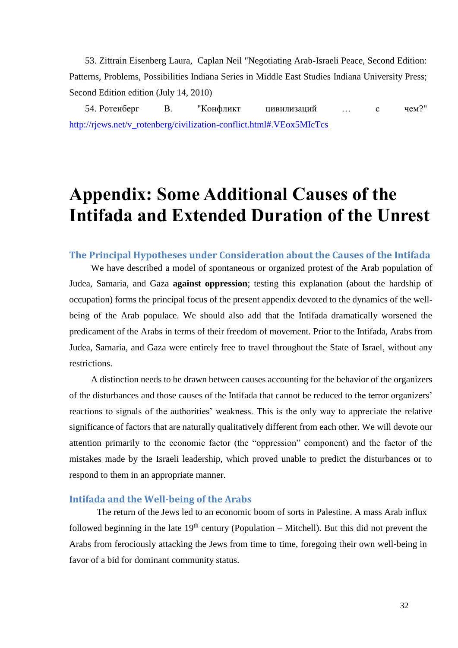53. Zittrain Eisenberg Laura, Caplan Neil "Negotiating Arab-Israeli Peace, Second Edition: Patterns, Problems, Possibilities Indiana Series in Middle East Studies Indiana University Press; Second Edition edition (July 14, 2010)

54. Ротенберг В. "Конфликт цивилизаций … с чем?" [http://rjews.net/v\\_rotenberg/civilization-conflict.html#.VEox5MIcTcs](http://rjews.net/v_rotenberg/civilization-conflict.html#.VEox5MIcTcs)

# <span id="page-31-0"></span>**Appendix: Some Additional Causes of the Intifada and Extended Duration of the Unrest**

#### <span id="page-31-1"></span>**The Principal Hypotheses under Consideration about the Causes of the Intifada**

We have described a model of spontaneous or organized protest of the Arab population of Judea, Samaria, and Gaza **against oppression**; testing this explanation (about the hardship of occupation) forms the principal focus of the present appendix devoted to the dynamics of the wellbeing of the Arab populace. We should also add that the Intifada dramatically worsened the predicament of the Arabs in terms of their freedom of movement. Prior to the Intifada, Arabs from Judea, Samaria, and Gaza were entirely free to travel throughout the State of Israel, without any restrictions.

A distinction needs to be drawn between causes accounting for the behavior of the organizers of the disturbances and those causes of the Intifada that cannot be reduced to the terror organizers' reactions to signals of the authorities' weakness. This is the only way to appreciate the relative significance of factors that are naturally qualitatively different from each other. We will devote our attention primarily to the economic factor (the "oppression" component) and the factor of the mistakes made by the Israeli leadership, which proved unable to predict the disturbances or to respond to them in an appropriate manner.

#### <span id="page-31-2"></span>**Intifada and the Well-being of the Arabs**

The return of the Jews led to an economic boom of sorts in Palestine. A mass Arab influx followed beginning in the late  $19<sup>th</sup>$  century (Population – Mitchell). But this did not prevent the Arabs from ferociously attacking the Jews from time to time, foregoing their own well-being in favor of a bid for dominant community status.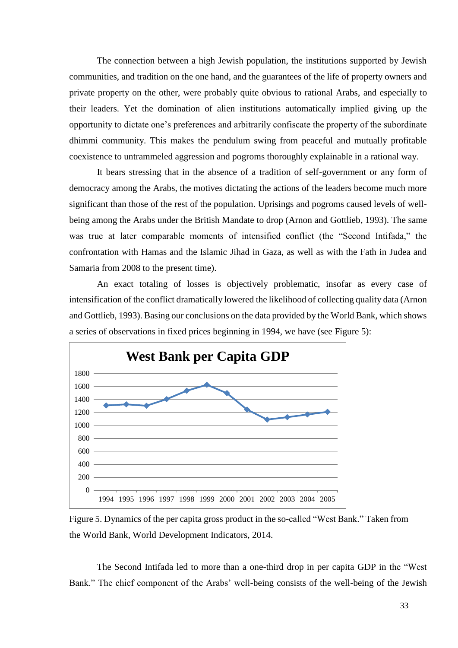The connection between a high Jewish population, the institutions supported by Jewish communities, and tradition on the one hand, and the guarantees of the life of property owners and private property on the other, were probably quite obvious to rational Arabs, and especially to their leaders. Yet the domination of alien institutions automatically implied giving up the opportunity to dictate one's preferences and arbitrarily confiscate the property of the subordinate dhimmi community. This makes the pendulum swing from peaceful and mutually profitable coexistence to untrammeled aggression and pogroms thoroughly explainable in a rational way.

It bears stressing that in the absence of a tradition of self-government or any form of democracy among the Arabs, the motives dictating the actions of the leaders become much more significant than those of the rest of the population. Uprisings and pogroms caused levels of wellbeing among the Arabs under the British Mandate to drop (Arnon and Gottlieb, 1993). The same was true at later comparable moments of intensified conflict (the "Second Intifada," the confrontation with Hamas and the Islamic Jihad in Gaza, as well as with the Fath in Judea and Samaria from 2008 to the present time).

An exact totaling of losses is objectively problematic, insofar as every case of intensification of the conflict dramatically lowered the likelihood of collecting quality data (Arnon and Gottlieb, 1993). Basing our conclusions on the data provided by the World Bank, which shows a series of observations in fixed prices beginning in 1994, we have (see Figure 5):



Figure 5. Dynamics of the per capita gross product in the so-called "West Bank." Taken from the World Bank, World Development Indicators, 2014.

The Second Intifada led to more than a one-third drop in per capita GDP in the "West Bank." The chief component of the Arabs' well-being consists of the well-being of the Jewish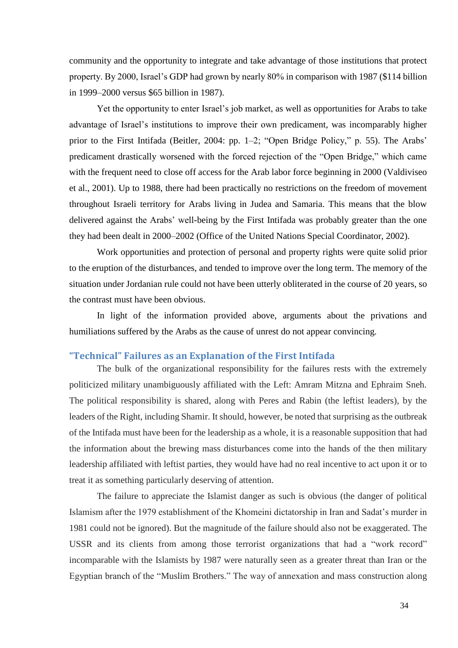community and the opportunity to integrate and take advantage of those institutions that protect property. By 2000, Israel's GDP had grown by nearly 80% in comparison with 1987 (\$114 billion in 1999–2000 versus \$65 billion in 1987).

Yet the opportunity to enter Israel's job market, as well as opportunities for Arabs to take advantage of Israel's institutions to improve their own predicament, was incomparably higher prior to the First Intifada (Beitler, 2004: pp. 1–2; "Open Bridge Policy," p. 55). The Arabs' predicament drastically worsened with the forced rejection of the "Open Bridge," which came with the frequent need to close off access for the Arab labor force beginning in 2000 (Valdiviseo et al., 2001). Up to 1988, there had been practically no restrictions on the freedom of movement throughout Israeli territory for Arabs living in Judea and Samaria. This means that the blow delivered against the Arabs' well-being by the First Intifada was probably greater than the one they had been dealt in 2000–2002 (Office of the United Nations Special Coordinator, 2002).

Work opportunities and protection of personal and property rights were quite solid prior to the eruption of the disturbances, and tended to improve over the long term. The memory of the situation under Jordanian rule could not have been utterly obliterated in the course of 20 years, so the contrast must have been obvious.

In light of the information provided above, arguments about the privations and humiliations suffered by the Arabs as the cause of unrest do not appear convincing.

#### <span id="page-33-0"></span>**"Technical" Failures as an Explanation of the First Intifada**

The bulk of the organizational responsibility for the failures rests with the extremely politicized military unambiguously affiliated with the Left: Amram Mitzna and Ephraim Sneh. The political responsibility is shared, along with Peres and Rabin (the leftist leaders), by the leaders of the Right, including Shamir. It should, however, be noted that surprising as the outbreak of the Intifada must have been for the leadership as a whole, it is a reasonable supposition that had the information about the brewing mass disturbances come into the hands of the then military leadership affiliated with leftist parties, they would have had no real incentive to act upon it or to treat it as something particularly deserving of attention.

The failure to appreciate the Islamist danger as such is obvious (the danger of political Islamism after the 1979 establishment of the Khomeini dictatorship in Iran and Sadat's murder in 1981 could not be ignored). But the magnitude of the failure should also not be exaggerated. The USSR and its clients from among those terrorist organizations that had a "work record" incomparable with the Islamists by 1987 were naturally seen as a greater threat than Iran or the Egyptian branch of the "Muslim Brothers." The way of annexation and mass construction along